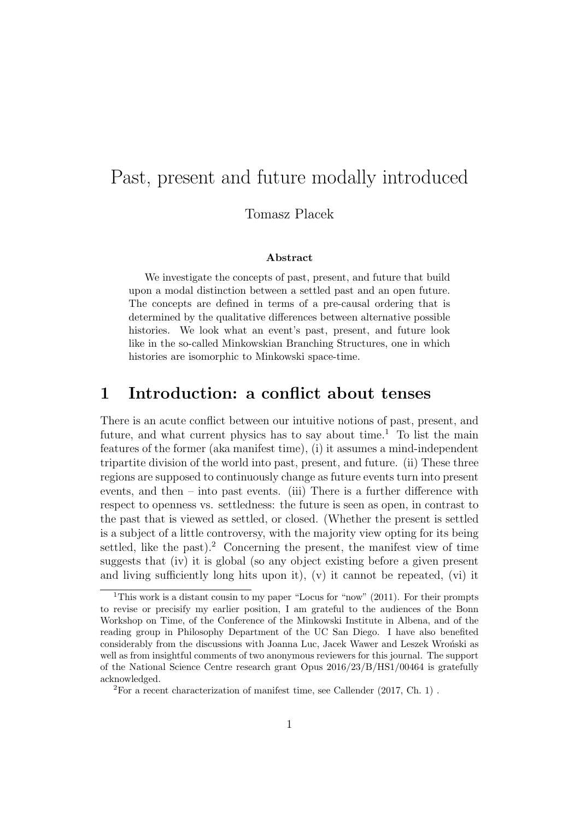# Past, present and future modally introduced

#### Tomasz Placek

#### Abstract

We investigate the concepts of past, present, and future that build upon a modal distinction between a settled past and an open future. The concepts are defined in terms of a pre-causal ordering that is determined by the qualitative differences between alternative possible histories. We look what an event's past, present, and future look like in the so-called Minkowskian Branching Structures, one in which histories are isomorphic to Minkowski space-time.

#### 1 Introduction: a conflict about tenses

There is an acute conflict between our intuitive notions of past, present, and future, and what current physics has to say about time.<sup>1</sup> To list the main features of the former (aka manifest time), (i) it assumes a mind-independent tripartite division of the world into past, present, and future. (ii) These three regions are supposed to continuously change as future events turn into present events, and then – into past events. (iii) There is a further difference with respect to openness vs. settledness: the future is seen as open, in contrast to the past that is viewed as settled, or closed. (Whether the present is settled is a subject of a little controversy, with the majority view opting for its being settled, like the past).<sup>2</sup> Concerning the present, the manifest view of time suggests that (iv) it is global (so any object existing before a given present and living sufficiently long hits upon it),  $(v)$  it cannot be repeated,  $(vi)$  it

<sup>&</sup>lt;sup>1</sup>This work is a distant cousin to my paper "Locus for "now" (2011). For their prompts to revise or precisify my earlier position, I am grateful to the audiences of the Bonn Workshop on Time, of the Conference of the Minkowski Institute in Albena, and of the reading group in Philosophy Department of the UC San Diego. I have also benefited considerably from the discussions with Joanna Luc, Jacek Wawer and Leszek Wroński as well as from insightful comments of two anonymous reviewers for this journal. The support of the National Science Centre research grant Opus 2016/23/B/HS1/00464 is gratefully acknowledged.

<sup>2</sup>For a recent characterization of manifest time, see Callender (2017, Ch. 1) .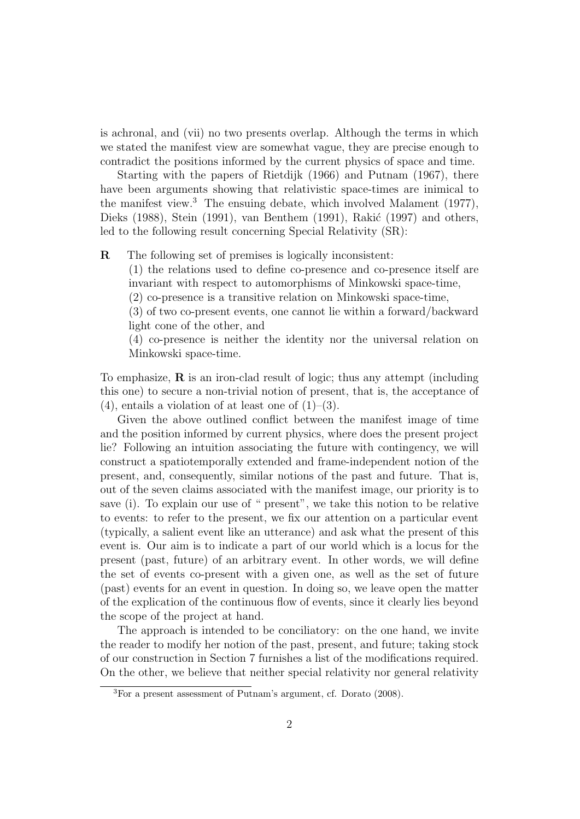is achronal, and (vii) no two presents overlap. Although the terms in which we stated the manifest view are somewhat vague, they are precise enough to contradict the positions informed by the current physics of space and time.

Starting with the papers of Rietdijk (1966) and Putnam (1967), there have been arguments showing that relativistic space-times are inimical to the manifest view.<sup>3</sup> The ensuing debate, which involved Malament (1977), Dieks (1988), Stein (1991), van Benthem (1991), Rakić (1997) and others, led to the following result concerning Special Relativity (SR):

R The following set of premises is logically inconsistent:

(1) the relations used to define co-presence and co-presence itself are invariant with respect to automorphisms of Minkowski space-time,

(2) co-presence is a transitive relation on Minkowski space-time,

(3) of two co-present events, one cannot lie within a forward/backward light cone of the other, and

(4) co-presence is neither the identity nor the universal relation on Minkowski space-time.

To emphasize,  $\bf{R}$  is an iron-clad result of logic; thus any attempt (including this one) to secure a non-trivial notion of present, that is, the acceptance of  $(4)$ , entails a violation of at least one of  $(1)$ – $(3)$ .

Given the above outlined conflict between the manifest image of time and the position informed by current physics, where does the present project lie? Following an intuition associating the future with contingency, we will construct a spatiotemporally extended and frame-independent notion of the present, and, consequently, similar notions of the past and future. That is, out of the seven claims associated with the manifest image, our priority is to save (i). To explain our use of " present", we take this notion to be relative to events: to refer to the present, we fix our attention on a particular event (typically, a salient event like an utterance) and ask what the present of this event is. Our aim is to indicate a part of our world which is a locus for the present (past, future) of an arbitrary event. In other words, we will define the set of events co-present with a given one, as well as the set of future (past) events for an event in question. In doing so, we leave open the matter of the explication of the continuous flow of events, since it clearly lies beyond the scope of the project at hand.

The approach is intended to be conciliatory: on the one hand, we invite the reader to modify her notion of the past, present, and future; taking stock of our construction in Section 7 furnishes a list of the modifications required. On the other, we believe that neither special relativity nor general relativity

<sup>3</sup>For a present assessment of Putnam's argument, cf. Dorato (2008).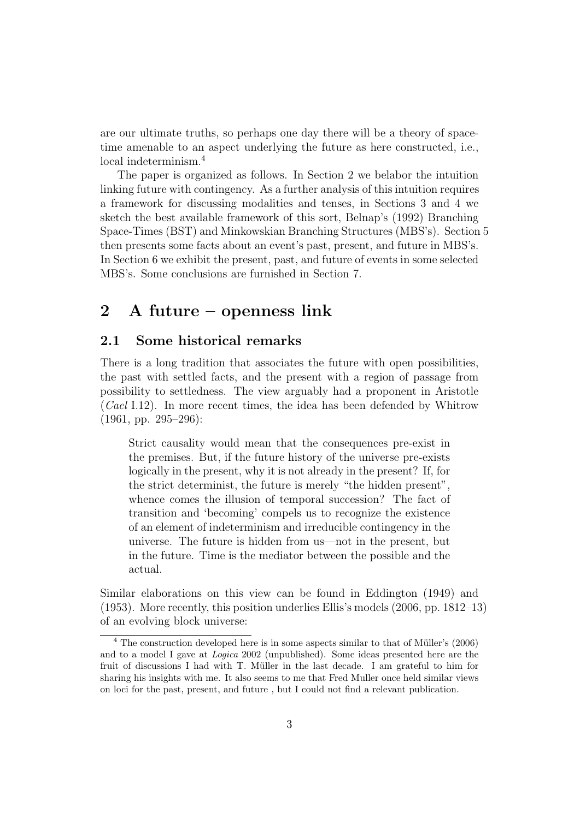are our ultimate truths, so perhaps one day there will be a theory of spacetime amenable to an aspect underlying the future as here constructed, i.e., local indeterminism.<sup>4</sup>

The paper is organized as follows. In Section 2 we belabor the intuition linking future with contingency. As a further analysis of this intuition requires a framework for discussing modalities and tenses, in Sections 3 and 4 we sketch the best available framework of this sort, Belnap's (1992) Branching Space-Times (BST) and Minkowskian Branching Structures (MBS's). Section 5 then presents some facts about an event's past, present, and future in MBS's. In Section 6 we exhibit the present, past, and future of events in some selected MBS's. Some conclusions are furnished in Section 7.

#### 2 A future – openness link

#### 2.1 Some historical remarks

There is a long tradition that associates the future with open possibilities, the past with settled facts, and the present with a region of passage from possibility to settledness. The view arguably had a proponent in Aristotle (Cael I.12). In more recent times, the idea has been defended by Whitrow (1961, pp. 295–296):

Strict causality would mean that the consequences pre-exist in the premises. But, if the future history of the universe pre-exists logically in the present, why it is not already in the present? If, for the strict determinist, the future is merely "the hidden present", whence comes the illusion of temporal succession? The fact of transition and 'becoming' compels us to recognize the existence of an element of indeterminism and irreducible contingency in the universe. The future is hidden from us—not in the present, but in the future. Time is the mediator between the possible and the actual.

Similar elaborations on this view can be found in Eddington (1949) and (1953). More recently, this position underlies Ellis's models (2006, pp. 1812–13) of an evolving block universe:

 $4$  The construction developed here is in some aspects similar to that of Müller's  $(2006)$ and to a model I gave at Logica 2002 (unpublished). Some ideas presented here are the fruit of discussions I had with T. Müller in the last decade. I am grateful to him for sharing his insights with me. It also seems to me that Fred Muller once held similar views on loci for the past, present, and future , but I could not find a relevant publication.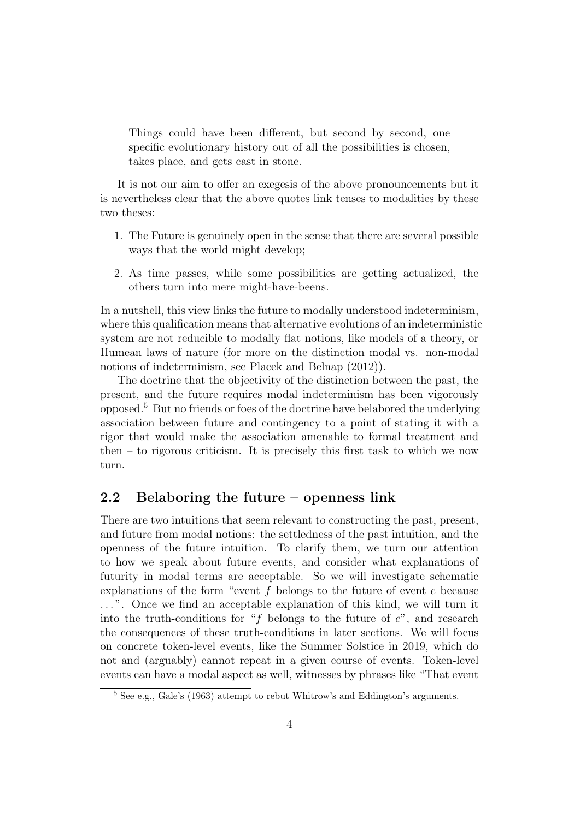Things could have been different, but second by second, one specific evolutionary history out of all the possibilities is chosen, takes place, and gets cast in stone.

It is not our aim to offer an exegesis of the above pronouncements but it is nevertheless clear that the above quotes link tenses to modalities by these two theses:

- 1. The Future is genuinely open in the sense that there are several possible ways that the world might develop;
- 2. As time passes, while some possibilities are getting actualized, the others turn into mere might-have-beens.

In a nutshell, this view links the future to modally understood indeterminism, where this qualification means that alternative evolutions of an indeterministic system are not reducible to modally flat notions, like models of a theory, or Humean laws of nature (for more on the distinction modal vs. non-modal notions of indeterminism, see Placek and Belnap (2012)).

The doctrine that the objectivity of the distinction between the past, the present, and the future requires modal indeterminism has been vigorously opposed.<sup>5</sup> But no friends or foes of the doctrine have belabored the underlying association between future and contingency to a point of stating it with a rigor that would make the association amenable to formal treatment and then – to rigorous criticism. It is precisely this first task to which we now turn.

#### 2.2 Belaboring the future – openness link

There are two intuitions that seem relevant to constructing the past, present, and future from modal notions: the settledness of the past intuition, and the openness of the future intuition. To clarify them, we turn our attention to how we speak about future events, and consider what explanations of futurity in modal terms are acceptable. So we will investigate schematic explanations of the form "event f belongs to the future of event e because ...". Once we find an acceptable explanation of this kind, we will turn it into the truth-conditions for "f belongs to the future of  $e$ ", and research the consequences of these truth-conditions in later sections. We will focus on concrete token-level events, like the Summer Solstice in 2019, which do not and (arguably) cannot repeat in a given course of events. Token-level events can have a modal aspect as well, witnesses by phrases like "That event

 $^5$  See e.g., Gale's (1963) attempt to rebut Whitrow's and Eddington's arguments.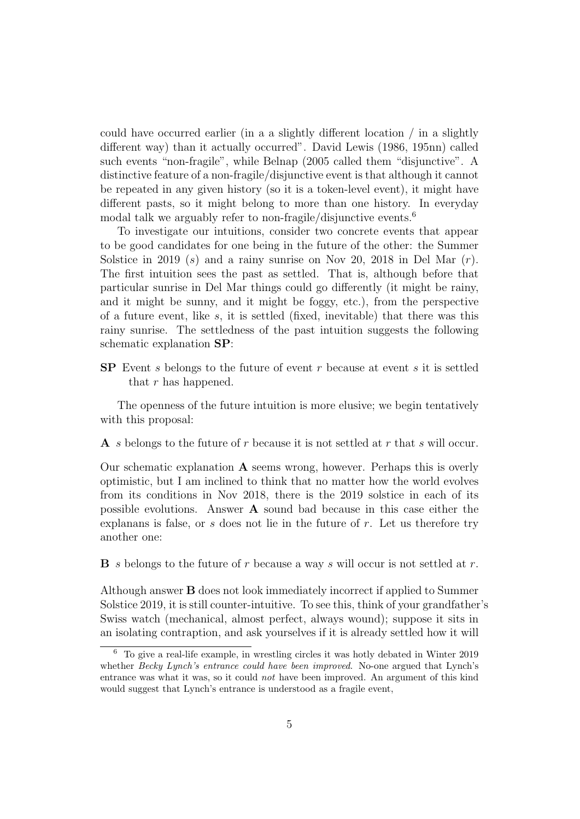could have occurred earlier (in a a slightly different location / in a slightly different way) than it actually occurred". David Lewis (1986, 195nn) called such events "non-fragile", while Belnap (2005 called them "disjunctive". A distinctive feature of a non-fragile/disjunctive event is that although it cannot be repeated in any given history (so it is a token-level event), it might have different pasts, so it might belong to more than one history. In everyday modal talk we arguably refer to non-fragile/disjunctive events.<sup>6</sup>

To investigate our intuitions, consider two concrete events that appear to be good candidates for one being in the future of the other: the Summer Solstice in 2019 (s) and a rainy sunrise on Nov 20, 2018 in Del Mar  $(r)$ . The first intuition sees the past as settled. That is, although before that particular sunrise in Del Mar things could go differently (it might be rainy, and it might be sunny, and it might be foggy, etc.), from the perspective of a future event, like s, it is settled (fixed, inevitable) that there was this rainy sunrise. The settledness of the past intuition suggests the following schematic explanation SP:

 $SP$  Event s belongs to the future of event r because at event s it is settled that r has happened.

The openness of the future intuition is more elusive; we begin tentatively with this proposal:

A s belongs to the future of r because it is not settled at r that s will occur.

Our schematic explanation  $A$  seems wrong, however. Perhaps this is overly optimistic, but I am inclined to think that no matter how the world evolves from its conditions in Nov 2018, there is the 2019 solstice in each of its possible evolutions. Answer A sound bad because in this case either the explanans is false, or  $s$  does not lie in the future of  $r$ . Let us therefore try another one:

 $\bf{B}$  s belongs to the future of r because a way s will occur is not settled at r.

Although answer B does not look immediately incorrect if applied to Summer Solstice 2019, it is still counter-intuitive. To see this, think of your grandfather's Swiss watch (mechanical, almost perfect, always wound); suppose it sits in an isolating contraption, and ask yourselves if it is already settled how it will

<sup>6</sup> To give a real-life example, in wrestling circles it was hotly debated in Winter 2019 whether *Becky Lynch's entrance could have been improved*. No-one argued that Lynch's entrance was what it was, so it could not have been improved. An argument of this kind would suggest that Lynch's entrance is understood as a fragile event,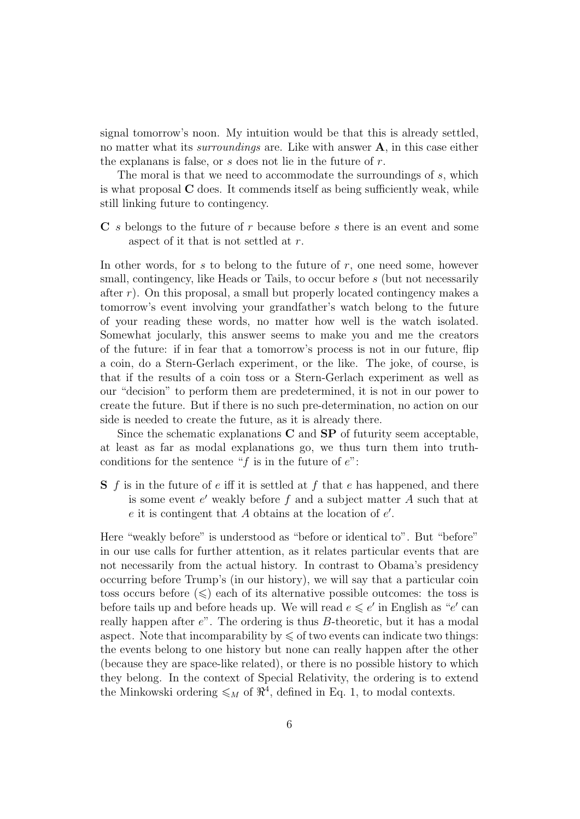signal tomorrow's noon. My intuition would be that this is already settled, no matter what its *surroundings* are. Like with answer  $A$ , in this case either the explanans is false, or  $s$  does not lie in the future of  $r$ .

The moral is that we need to accommodate the surroundings of s, which is what proposal C does. It commends itself as being sufficiently weak, while still linking future to contingency.

C s belongs to the future of r because before s there is an event and some aspect of it that is not settled at r.

In other words, for s to belong to the future of  $r$ , one need some, however small, contingency, like Heads or Tails, to occur before s (but not necessarily after  $r$ ). On this proposal, a small but properly located contingency makes a tomorrow's event involving your grandfather's watch belong to the future of your reading these words, no matter how well is the watch isolated. Somewhat jocularly, this answer seems to make you and me the creators of the future: if in fear that a tomorrow's process is not in our future, flip a coin, do a Stern-Gerlach experiment, or the like. The joke, of course, is that if the results of a coin toss or a Stern-Gerlach experiment as well as our "decision" to perform them are predetermined, it is not in our power to create the future. But if there is no such pre-determination, no action on our side is needed to create the future, as it is already there.

Since the schematic explanations  $C$  and  $SP$  of futurity seem acceptable, at least as far as modal explanations go, we thus turn them into truthconditions for the sentence "f is in the future of  $e$ ":

 $S$  f is in the future of e iff it is settled at f that e has happened, and there is some event  $e'$  weakly before  $f$  and a subject matter  $A$  such that at  $e$  it is contingent that  $A$  obtains at the location of  $e'$ .

Here "weakly before" is understood as "before or identical to". But "before" in our use calls for further attention, as it relates particular events that are not necessarily from the actual history. In contrast to Obama's presidency occurring before Trump's (in our history), we will say that a particular coin toss occurs before  $(\leqslant)$  each of its alternative possible outcomes: the toss is before tails up and before heads up. We will read  $e \leq e'$  in English as "e' can really happen after  $e$ ". The ordering is thus  $B$ -theoretic, but it has a modal aspect. Note that incomparability by  $\leqslant$  of two events can indicate two things: the events belong to one history but none can really happen after the other (because they are space-like related), or there is no possible history to which they belong. In the context of Special Relativity, the ordering is to extend the Minkowski ordering  $\leqslant_M$  of  $\mathbb{R}^4$ , defined in Eq. 1, to modal contexts.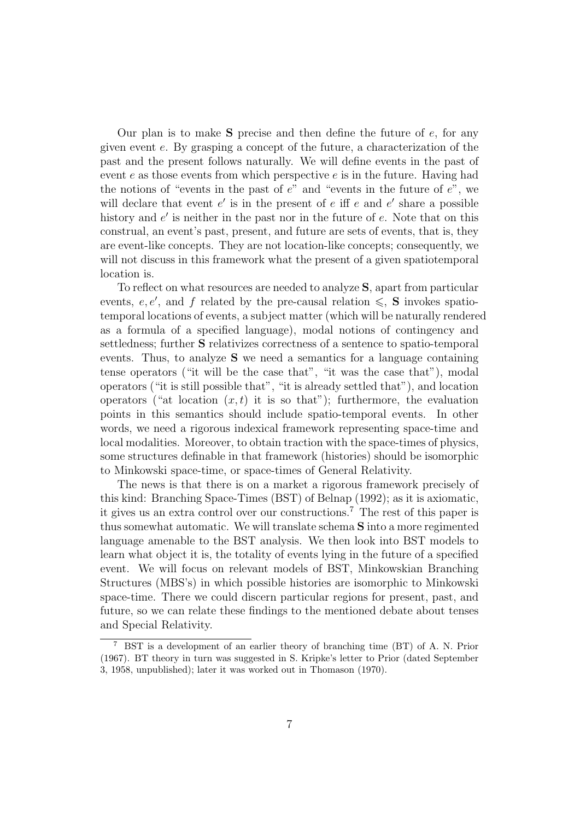Our plan is to make  $S$  precise and then define the future of  $e$ , for any given event e. By grasping a concept of the future, a characterization of the past and the present follows naturally. We will define events in the past of event  $e$  as those events from which perspective  $e$  is in the future. Having had the notions of "events in the past of  $e$ " and "events in the future of  $e$ ", we will declare that event  $e'$  is in the present of  $e$  iff  $e$  and  $e'$  share a possible history and  $e'$  is neither in the past nor in the future of  $e$ . Note that on this construal, an event's past, present, and future are sets of events, that is, they are event-like concepts. They are not location-like concepts; consequently, we will not discuss in this framework what the present of a given spatiotemporal location is.

To reflect on what resources are needed to analyze S, apart from particular events, e, e', and f related by the pre-causal relation  $\leqslant$ , **S** invokes spatiotemporal locations of events, a subject matter (which will be naturally rendered as a formula of a specified language), modal notions of contingency and settledness; further S relativizes correctness of a sentence to spatio-temporal events. Thus, to analyze S we need a semantics for a language containing tense operators ("it will be the case that", "it was the case that"), modal operators ("it is still possible that", "it is already settled that"), and location operators ("at location  $(x, t)$  it is so that"); furthermore, the evaluation points in this semantics should include spatio-temporal events. In other words, we need a rigorous indexical framework representing space-time and local modalities. Moreover, to obtain traction with the space-times of physics, some structures definable in that framework (histories) should be isomorphic to Minkowski space-time, or space-times of General Relativity.

The news is that there is on a market a rigorous framework precisely of this kind: Branching Space-Times (BST) of Belnap (1992); as it is axiomatic, it gives us an extra control over our constructions.<sup>7</sup> The rest of this paper is thus somewhat automatic. We will translate schema S into a more regimented language amenable to the BST analysis. We then look into BST models to learn what object it is, the totality of events lying in the future of a specified event. We will focus on relevant models of BST, Minkowskian Branching Structures (MBS's) in which possible histories are isomorphic to Minkowski space-time. There we could discern particular regions for present, past, and future, so we can relate these findings to the mentioned debate about tenses and Special Relativity.

<sup>7</sup> BST is a development of an earlier theory of branching time (BT) of A. N. Prior (1967). BT theory in turn was suggested in S. Kripke's letter to Prior (dated September 3, 1958, unpublished); later it was worked out in Thomason (1970).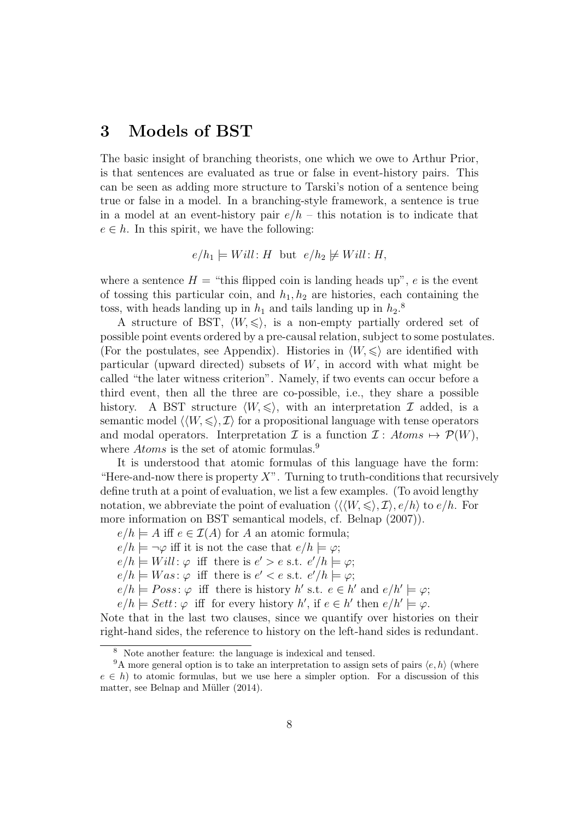## 3 Models of BST

The basic insight of branching theorists, one which we owe to Arthur Prior, is that sentences are evaluated as true or false in event-history pairs. This can be seen as adding more structure to Tarski's notion of a sentence being true or false in a model. In a branching-style framework, a sentence is true in a model at an event-history pair  $e/h$  – this notation is to indicate that  $e \in h$ . In this spirit, we have the following:

$$
e/h_1 \models Will: H \text{ but } e/h_2 \not\models Will: H,
$$

where a sentence  $H =$  "this flipped coin is landing heads up", e is the event of tossing this particular coin, and  $h_1, h_2$  are histories, each containing the toss, with heads landing up in  $h_1$  and tails landing up in  $h_2$ <sup>8</sup>

A structure of BST,  $\langle W, \leq \rangle$ , is a non-empty partially ordered set of possible point events ordered by a pre-causal relation, subject to some postulates. (For the postulates, see Appendix). Histories in  $\langle W, \leq \rangle$  are identified with particular (upward directed) subsets of  $W$ , in accord with what might be called "the later witness criterion". Namely, if two events can occur before a third event, then all the three are co-possible, i.e., they share a possible history. A BST structure  $\langle W, \leqslant \rangle$ , with an interpretation I added, is a semantic model  $\langle \langle W, \leqslant \rangle, \mathcal{I} \rangle$  for a propositional language with tense operators and modal operators. Interpretation  $\mathcal I$  is a function  $\mathcal I : Atoms \mapsto \mathcal P(W)$ , where *Atoms* is the set of atomic formulas.<sup>9</sup>

It is understood that atomic formulas of this language have the form: "Here-and-now there is property  $X$ ". Turning to truth-conditions that recursively define truth at a point of evaluation, we list a few examples. (To avoid lengthy notation, we abbreviate the point of evaluation  $\langle\langle\langle W,\leqslant\rangle,\mathcal{I}\rangle,\,e/h\rangle$  to  $e/h$ . For more information on BST semantical models, cf. Belnap (2007)).

 $e/h \models A$  iff  $e \in \mathcal{I}(A)$  for A an atomic formula;

 $e/h \models \neg \varphi$  iff it is not the case that  $e/h \models \varphi$ ;

 $e/h \models Will: \varphi$  iff there is  $e' > e$  s.t.  $e'/h \models \varphi;$ 

 $e/h \models Was : \varphi \text{ iff there is } e' < e \text{ s.t. } e'/h \models \varphi;$ 

 $e/h \models Poss: \varphi$  iff there is history h' s.t.  $e \in h'$  and  $e/h' \models \varphi;$ 

 $e/h \models Sett : \varphi$  iff for every history h', if  $e \in h'$  then  $e/h' \models \varphi$ .

Note that in the last two clauses, since we quantify over histories on their right-hand sides, the reference to history on the left-hand sides is redundant.

<sup>8</sup> Note another feature: the language is indexical and tensed.

<sup>&</sup>lt;sup>9</sup>A more general option is to take an interpretation to assign sets of pairs  $\langle e, h \rangle$  (where  $e \in h$ ) to atomic formulas, but we use here a simpler option. For a discussion of this matter, see Belnap and Müller (2014).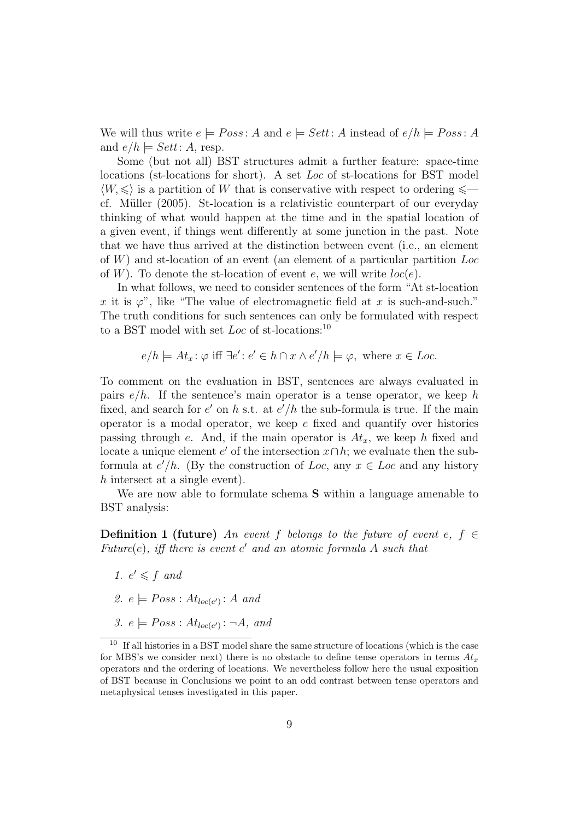We will thus write  $e \models Poss: A$  and  $e \models Set: A$  instead of  $e/h \models Poss: A$ and  $e/h \models Sett:A$ , resp.

Some (but not all) BST structures admit a further feature: space-time locations (st-locations for short). A set Loc of st-locations for BST model  $\langle W, \leq \rangle$  is a partition of W that is conservative with respect to ordering  $\leq$ cf. Müller (2005). St-location is a relativistic counterpart of our everyday thinking of what would happen at the time and in the spatial location of a given event, if things went differently at some junction in the past. Note that we have thus arrived at the distinction between event (i.e., an element of W) and st-location of an event (an element of a particular partition Loc of W). To denote the st-location of event e, we will write  $loc(e)$ .

In what follows, we need to consider sentences of the form "At st-location x it is  $\varphi$ ", like "The value of electromagnetic field at x is such-and-such." The truth conditions for such sentences can only be formulated with respect to a BST model with set Loc of st-locations:  $10$ 

$$
e/h \models At_x \colon \varphi \text{ iff } \exists e' \colon e' \in h \cap x \land e'/h \models \varphi, \text{ where } x \in Loc.
$$

To comment on the evaluation in BST, sentences are always evaluated in pairs  $e/h$ . If the sentence's main operator is a tense operator, we keep h fixed, and search for  $e'$  on h s.t. at  $e'/h$  the sub-formula is true. If the main operator is a modal operator, we keep  $e$  fixed and quantify over histories passing through e. And, if the main operator is  $At_x$ , we keep h fixed and locate a unique element  $e'$  of the intersection  $x \cap h$ ; we evaluate then the subformula at  $e'/h$ . (By the construction of Loc, any  $x \in Loc$  and any history h intersect at a single event).

We are now able to formulate schema **S** within a language amenable to BST analysis:

**Definition 1 (future)** An event f belongs to the future of event e,  $f \in$ Future $(e)$ , iff there is event  $e'$  and an atomic formula A such that

- 1.  $e' \leq f$  and
- 2.  $e \models Poss : At_{loc(e')} : A \text{ and }$
- 3.  $e \models Poss : At_{loc(e')} : \neg A$ , and

<sup>&</sup>lt;sup>10</sup> If all histories in a BST model share the same structure of locations (which is the case for MBS's we consider next) there is no obstacle to define tense operators in terms  $At<sub>x</sub>$ operators and the ordering of locations. We nevertheless follow here the usual exposition of BST because in Conclusions we point to an odd contrast between tense operators and metaphysical tenses investigated in this paper.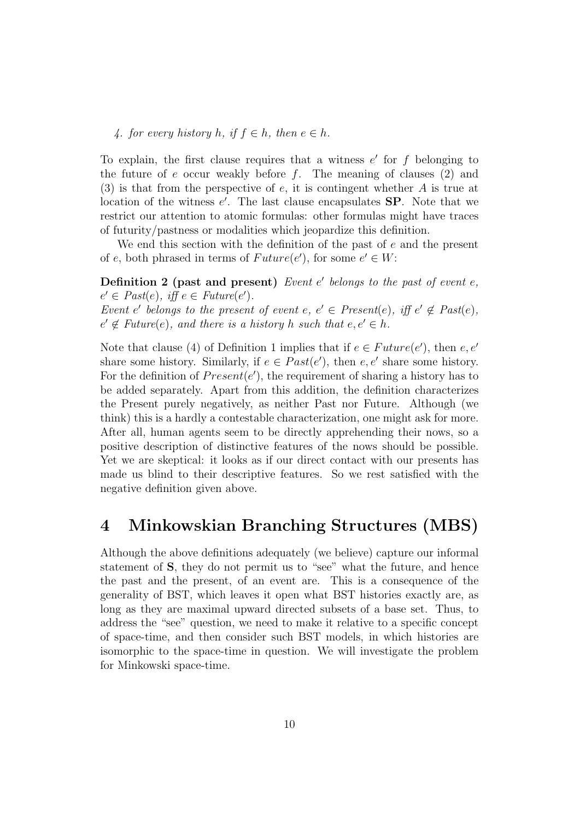4. for every history h, if  $f \in h$ , then  $e \in h$ .

To explain, the first clause requires that a witness  $e'$  for  $f$  belonging to the future of  $e$  occur weakly before  $f$ . The meaning of clauses  $(2)$  and  $(3)$  is that from the perspective of e, it is contingent whether A is true at location of the witness  $e'$ . The last clause encapsulates  $SP$ . Note that we restrict our attention to atomic formulas: other formulas might have traces of futurity/pastness or modalities which jeopardize this definition.

We end this section with the definition of the past of  $e$  and the present of e, both phrased in terms of  $Future(e')$ , for some  $e' \in W$ :

Definition 2 (past and present) Event  $e'$  belongs to the past of event  $e$ ,  $e' \in \text{Fast}(e), \text{ iff } e \in \text{Future}(e').$ Event e' belongs to the present of event  $e, e' \in Present(e), iff e' \notin Past(e),$  $e' \notin Future(e)$ , and there is a history h such that  $e, e' \in h$ .

Note that clause (4) of Definition 1 implies that if  $e \in Future(e')$ , then  $e, e'$ share some history. Similarly, if  $e \in Past(e')$ , then  $e, e'$  share some history. For the definition of  $Present(e')$ , the requirement of sharing a history has to be added separately. Apart from this addition, the definition characterizes the Present purely negatively, as neither Past nor Future. Although (we think) this is a hardly a contestable characterization, one might ask for more. After all, human agents seem to be directly apprehending their nows, so a positive description of distinctive features of the nows should be possible. Yet we are skeptical: it looks as if our direct contact with our presents has made us blind to their descriptive features. So we rest satisfied with the negative definition given above.

#### 4 Minkowskian Branching Structures (MBS)

Although the above definitions adequately (we believe) capture our informal statement of S, they do not permit us to "see" what the future, and hence the past and the present, of an event are. This is a consequence of the generality of BST, which leaves it open what BST histories exactly are, as long as they are maximal upward directed subsets of a base set. Thus, to address the "see" question, we need to make it relative to a specific concept of space-time, and then consider such BST models, in which histories are isomorphic to the space-time in question. We will investigate the problem for Minkowski space-time.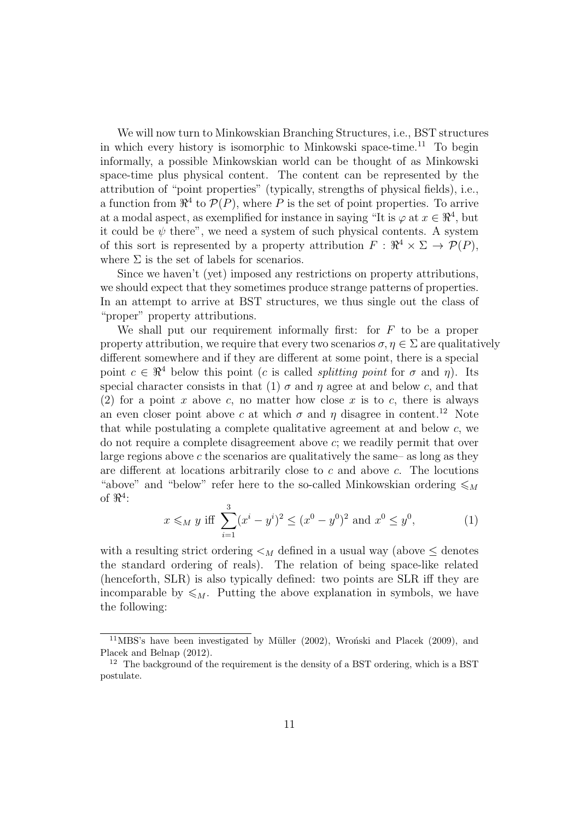We will now turn to Minkowskian Branching Structures, i.e., BST structures in which every history is isomorphic to Minkowski space-time.<sup>11</sup> To begin informally, a possible Minkowskian world can be thought of as Minkowski space-time plus physical content. The content can be represented by the attribution of "point properties" (typically, strengths of physical fields), i.e., a function from  $\mathbb{R}^4$  to  $\mathcal{P}(P)$ , where P is the set of point properties. To arrive at a modal aspect, as exemplified for instance in saying "It is  $\varphi$  at  $x \in \mathbb{R}^4$ , but it could be  $\psi$  there", we need a system of such physical contents. A system of this sort is represented by a property attribution  $F: \mathbb{R}^4 \times \Sigma \to \mathcal{P}(P)$ , where  $\Sigma$  is the set of labels for scenarios.

Since we haven't (yet) imposed any restrictions on property attributions, we should expect that they sometimes produce strange patterns of properties. In an attempt to arrive at BST structures, we thus single out the class of "proper" property attributions.

We shall put our requirement informally first: for  $F$  to be a proper property attribution, we require that every two scenarios  $\sigma, \eta \in \Sigma$  are qualitatively different somewhere and if they are different at some point, there is a special point  $c \in \mathbb{R}^4$  below this point (c is called *splitting point* for  $\sigma$  and  $\eta$ ). Its special character consists in that (1)  $\sigma$  and  $\eta$  agree at and below c, and that (2) for a point x above c, no matter how close x is to c, there is always an even closer point above c at which  $\sigma$  and  $\eta$  disagree in content.<sup>12</sup> Note that while postulating a complete qualitative agreement at and below  $c$ , we do not require a complete disagreement above c; we readily permit that over large regions above  $c$  the scenarios are qualitatively the same– as long as they are different at locations arbitrarily close to  $c$  and above  $c$ . The locutions "above" and "below" refer here to the so-called Minkowskian ordering  $\leqslant_M$ of  $\Re^4$ :

$$
x \le_M y
$$
 iff  $\sum_{i=1}^3 (x^i - y^i)^2 \le (x^0 - y^0)^2$  and  $x^0 \le y^0$ , (1)

with a resulting strict ordering  $\lt_M$  defined in a usual way (above  $\leq$  denotes the standard ordering of reals). The relation of being space-like related (henceforth, SLR) is also typically defined: two points are SLR iff they are incomparable by  $\leqslant_M$ . Putting the above explanation in symbols, we have the following:

 $11$ MBS's have been investigated by Müller (2002), Wroński and Placek (2009), and Placek and Belnap (2012).

 $12$  The background of the requirement is the density of a BST ordering, which is a BST postulate.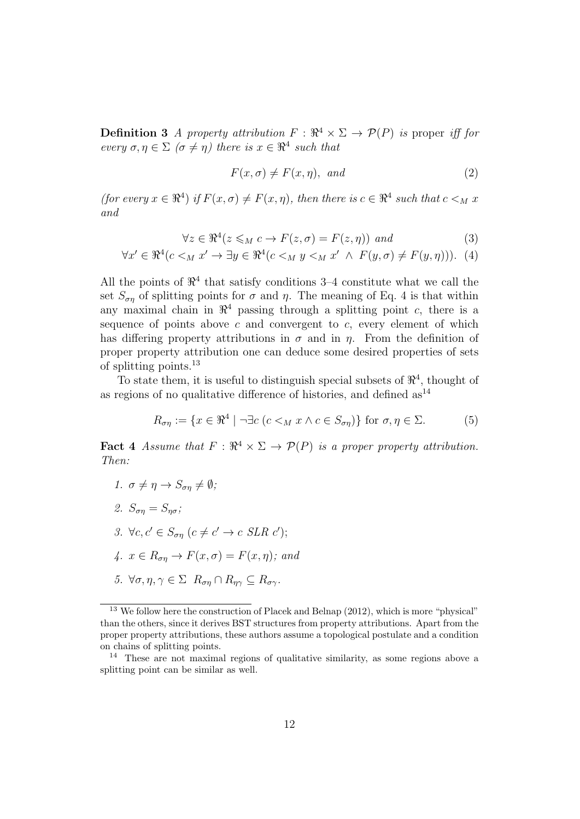**Definition 3** A property attribution  $F : \mathbb{R}^4 \times \Sigma \to \mathcal{P}(P)$  is proper iff for every  $\sigma, \eta \in \Sigma$  ( $\sigma \neq \eta$ ) there is  $x \in \Re^4$  such that

$$
F(x, \sigma) \neq F(x, \eta), \text{ and}
$$
\n<sup>(2)</sup>

(for every  $x \in \mathbb{R}^4$ ) if  $F(x, \sigma) \neq F(x, \eta)$ , then there is  $c \in \mathbb{R}^4$  such that  $c \leq_M x$ and

$$
\forall z \in \Re^4(z \leq_M c \to F(z, \sigma) = F(z, \eta)) \text{ and } (3)
$$

$$
\forall x' \in \Re^4(c <_M x' \to \exists y \in \Re^4(c <_M y <_M x' \land F(y, \sigma) \neq F(y, \eta))). \tag{4}
$$

All the points of  $\mathbb{R}^4$  that satisfy conditions 3–4 constitute what we call the set  $S_{\sigma n}$  of splitting points for  $\sigma$  and  $\eta$ . The meaning of Eq. 4 is that within any maximal chain in  $\mathbb{R}^4$  passing through a splitting point c, there is a sequence of points above  $c$  and convergent to  $c$ , every element of which has differing property attributions in  $\sigma$  and in  $\eta$ . From the definition of proper property attribution one can deduce some desired properties of sets of splitting points.<sup>13</sup>

To state them, it is useful to distinguish special subsets of  $\mathbb{R}^4$ , thought of as regions of no qualitative difference of histories, and defined  $as^{14}$ 

$$
R_{\sigma\eta} := \{ x \in \mathbb{R}^4 \mid \neg \exists c \ (c <_M x \land c \in S_{\sigma\eta}) \} \text{ for } \sigma, \eta \in \Sigma. \tag{5}
$$

**Fact 4** Assume that  $F : \mathbb{R}^4 \times \Sigma \to \mathcal{P}(P)$  is a proper property attribution. Then:

- 1.  $\sigma \neq \eta \rightarrow S_{\sigma n} \neq \emptyset$ ;
- 2.  $S_{\sigma n} = S_{n\sigma}$ ;
- 3.  $\forall c, c' \in S_{\sigma\eta} \ (c \neq c' \rightarrow c \ SLR \ c');$
- 4.  $x \in R_{\sigma n} \to F(x, \sigma) = F(x, \eta)$ ; and
- 5.  $\forall \sigma, \eta, \gamma \in \Sigma$   $R_{\sigma \eta} \cap R_{\eta \gamma} \subseteq R_{\sigma \gamma}$ .

<sup>&</sup>lt;sup>13</sup> We follow here the construction of Placek and Belnap (2012), which is more "physical" than the others, since it derives BST structures from property attributions. Apart from the proper property attributions, these authors assume a topological postulate and a condition on chains of splitting points.

<sup>14</sup> These are not maximal regions of qualitative similarity, as some regions above a splitting point can be similar as well.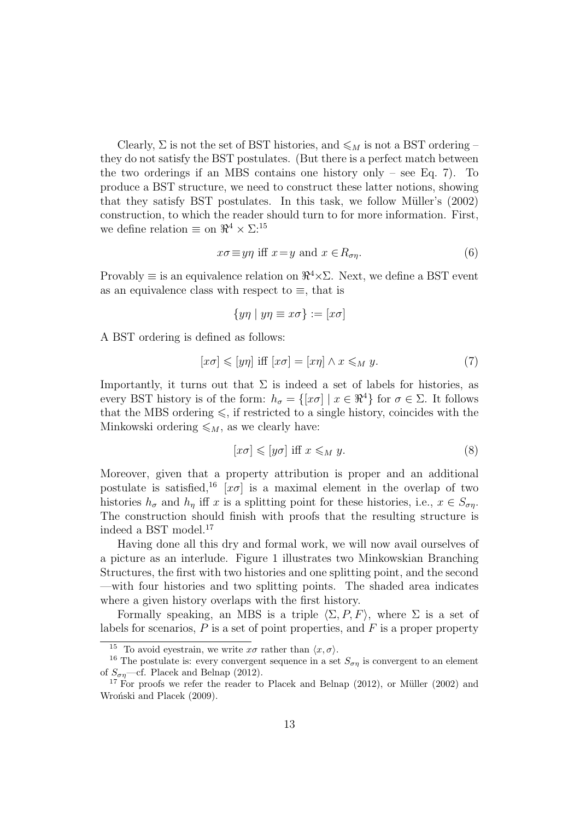Clearly,  $\Sigma$  is not the set of BST histories, and  $\leq_M$  is not a BST ordering – they do not satisfy the BST postulates. (But there is a perfect match between the two orderings if an MBS contains one history only – see Eq. 7). To produce a BST structure, we need to construct these latter notions, showing that they satisfy BST postulates. In this task, we follow Müller's  $(2002)$ construction, to which the reader should turn to for more information. First, we define relation  $\equiv$  on  $\mathbb{R}^4 \times \Sigma$ :<sup>15</sup>

$$
x\sigma \equiv y\eta \text{ iff } x = y \text{ and } x \in R_{\sigma\eta}.\tag{6}
$$

Provably  $\equiv$  is an equivalence relation on  $\mathbb{R}^4 \times \Sigma$ . Next, we define a BST event as an equivalence class with respect to  $\equiv$ , that is

$$
\{y\eta \mid y\eta \equiv x\sigma\} := [x\sigma]
$$

A BST ordering is defined as follows:

$$
[x\sigma] \leqslant [y\eta] \text{ iff } [x\sigma] = [x\eta] \land x \leqslant_M y. \tag{7}
$$

Importantly, it turns out that  $\Sigma$  is indeed a set of labels for histories, as every BST history is of the form:  $h_{\sigma} = \{ [x\sigma] \mid x \in \mathbb{R}^4 \}$  for  $\sigma \in \Sigma$ . It follows that the MBS ordering  $\leq$ , if restricted to a single history, coincides with the Minkowski ordering  $\leqslant_M$ , as we clearly have:

$$
[x\sigma] \leqslant [y\sigma] \text{ iff } x \leqslant_M y. \tag{8}
$$

Moreover, given that a property attribution is proper and an additional postulate is satisfied,<sup>16</sup> [ $x\sigma$ ] is a maximal element in the overlap of two histories  $h_{\sigma}$  and  $h_{\eta}$  iff x is a splitting point for these histories, i.e.,  $x \in S_{\sigma\eta}$ . The construction should finish with proofs that the resulting structure is indeed a BST model.<sup>17</sup>

Having done all this dry and formal work, we will now avail ourselves of a picture as an interlude. Figure 1 illustrates two Minkowskian Branching Structures, the first with two histories and one splitting point, and the second —with four histories and two splitting points. The shaded area indicates where a given history overlaps with the first history.

Formally speaking, an MBS is a triple  $\langle \Sigma, P, F \rangle$ , where  $\Sigma$  is a set of labels for scenarios,  $P$  is a set of point properties, and  $F$  is a proper property

<sup>&</sup>lt;sup>15</sup> To avoid eyestrain, we write  $x\sigma$  rather than  $\langle x, \sigma \rangle$ .

<sup>&</sup>lt;sup>16</sup> The postulate is: every convergent sequence in a set  $S_{\sigma\eta}$  is convergent to an element of  $S_{\sigma\eta}$ —cf. Placek and Belnap (2012).

 $17$  For proofs we refer the reader to Placek and Belnap (2012), or Müller (2002) and Wroński and Placek (2009).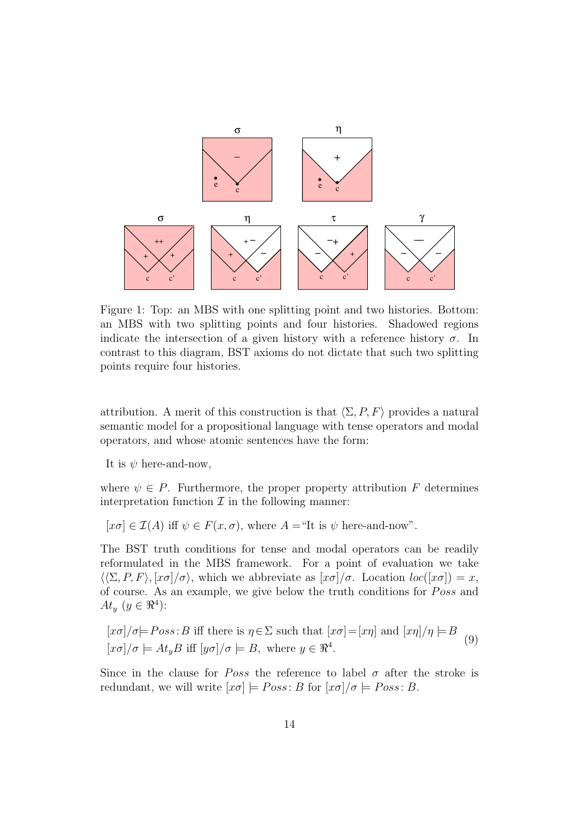

Figure 1: Top: an MBS with one splitting point and two histories. Bottom: an MBS with two splitting points and four histories. Shadowed regions indicate the intersection of a given history with a reference history  $\sigma$ . In contrast to this diagram, BST axioms do not dictate that such two splitting points require four histories.

attribution. A merit of this construction is that  $\langle \Sigma, P, F \rangle$  provides a natural semantic model for a propositional language with tense operators and modal operators, and whose atomic sentences have the form:

It is  $\psi$  here-and-now.

where  $\psi \in P$ . Furthermore, the proper property attribution F determines interpretation function  $\mathcal I$  in the following manner:

 $[x\sigma] \in \mathcal{I}(A)$  iff  $\psi \in F(x, \sigma)$ , where  $A =$ "It is  $\psi$  here-and-now".

The BST truth conditions for tense and modal operators can be readily reformulated in the MBS framework. For a point of evaluation we take  $\langle \langle \Sigma, P, F \rangle, [\chi \sigma] / \sigma \rangle$ , which we abbreviate as  $[\chi \sigma] / \sigma$ . Location  $loc([\chi \sigma]) = x$ , of course. As an example, we give below the truth conditions for *Poss* and  $At_y \ (y \in \mathbb{R}^4):$ 

 $[x\sigma]/\sigma \models Poss:B$  iff there is  $\eta \in \Sigma$  such that  $[x\sigma]=[x\eta]$  and  $[x\eta]/\eta \models B$  $[x\sigma]/\sigma \models At_y B \text{ iff } [y\sigma]/\sigma \models B, \text{ where } y \in \mathbb{R}^4.$  $\overline{(\mathsf{q})}$ 

Since in the clause for *Poss* the reference to label  $\sigma$  after the stroke is redundant, we will write  $[x\sigma] \models Poss: B$  for  $[x\sigma]/\sigma \models Poss: B$ .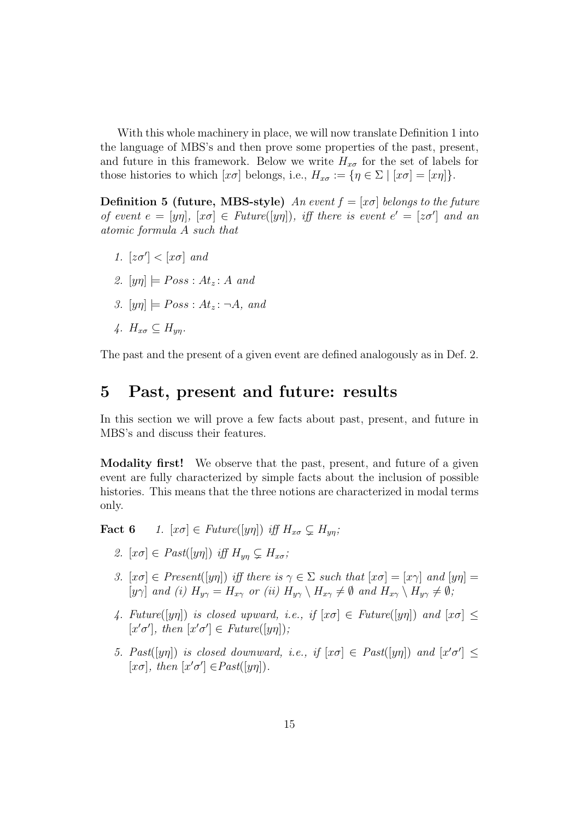With this whole machinery in place, we will now translate Definition 1 into the language of MBS's and then prove some properties of the past, present, and future in this framework. Below we write  $H_{x\sigma}$  for the set of labels for those histories to which  $[x\sigma]$  belongs, i.e.,  $H_{x\sigma} := {\eta \in \Sigma | [x\sigma] = [x\eta]}.$ 

**Definition 5 (future, MBS-style)** An event  $f = [x\sigma]$  belongs to the future of event  $e = [y\eta], [x\sigma] \in Future([y\eta]),$  iff there is event  $e' = [z\sigma']$  and an atomic formula A such that

- 1.  $[z\sigma'] < [x\sigma]$  and
- 2.  $[yn] \models Poss : At_z : A \text{ and }$
- 3.  $[yn] \models Poss : At_z : \neg A$ , and
- 4.  $H_{x\sigma} \subset H_{yn}$ .

The past and the present of a given event are defined analogously as in Def. 2.

#### 5 Past, present and future: results

In this section we will prove a few facts about past, present, and future in MBS's and discuss their features.

Modality first! We observe that the past, present, and future of a given event are fully characterized by simple facts about the inclusion of possible histories. This means that the three notions are characterized in modal terms only.

**Fact 6** 1.  $[x\sigma] \in Future([y\eta])$  iff  $H_{x\sigma} \subseteq H_{yn};$ 

- 2.  $[x\sigma] \in \text{Fast}([y\eta])$  iff  $H_{un} \subseteq H_{x\sigma}$ ;
- 3.  $[x\sigma] \in Present([y\eta])$  iff there is  $\gamma \in \Sigma$  such that  $[x\sigma] = [x\gamma]$  and  $[y\eta] =$  $[y\gamma]$  and (i)  $H_{y\gamma} = H_{x\gamma}$  or (ii)  $H_{y\gamma} \setminus H_{x\gamma} \neq \emptyset$  and  $H_{x\gamma} \setminus H_{y\gamma} \neq \emptyset$ ;
- 4. Future([yη]) is closed upward, i.e., if  $[x\sigma] \in Future([y\eta])$  and  $[x\sigma] \leq$ [ $x'\sigma'$ ], then  $[x'\sigma'] \in Future([y\eta])$ ;
- 5. Past( $[y\eta]$ ) is closed downward, i.e., if  $[x\sigma] \in \text{Fast}([y\eta])$  and  $[x'\sigma'] \leq$ [ $x\sigma$ ], then  $[x'\sigma'] \in Past([y\eta])$ .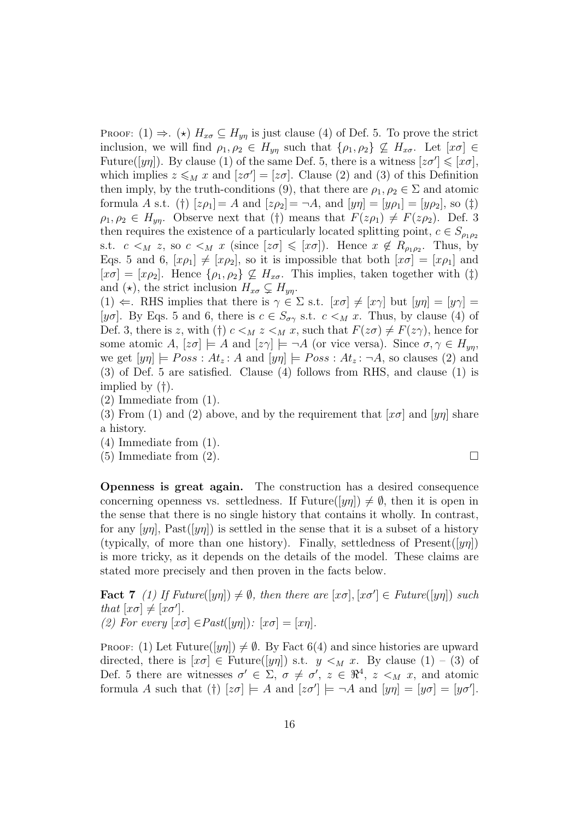PROOF:  $(1) \Rightarrow (*) H_{x\sigma} \subseteq H_{y\eta}$  is just clause  $(4)$  of Def. 5. To prove the strict inclusion, we will find  $\rho_1, \rho_2 \in H_{yn}$  such that  $\{\rho_1, \rho_2\} \nsubseteq H_{x\sigma}$ . Let  $[x\sigma] \in$ Future( $[yn]$ ). By clause (1) of the same Def. 5, there is a witness  $[z\sigma'] \leq [x\sigma]$ , which implies  $z \leq_M x$  and  $[z\sigma'] = [z\sigma]$ . Clause (2) and (3) of this Definition then imply, by the truth-conditions (9), that there are  $\rho_1, \rho_2 \in \Sigma$  and atomic formula A s.t. (†)  $[z \rho_1] = A$  and  $[z \rho_2] = \neg A$ , and  $[y \eta] = [y \rho_1] = [y \rho_2]$ , so (‡)  $\rho_1, \rho_2 \in H_{yn}$ . Observe next that (†) means that  $F(z\rho_1) \neq F(z\rho_2)$ . Def. 3 then requires the existence of a particularly located splitting point,  $c \in S_{\rho_1 \rho_2}$ s.t.  $c \lt_M z$ , so  $c \lt_M x$  (since  $[z\sigma] \leqslant [x\sigma]$ ). Hence  $x \notin R_{\rho_1\rho_2}$ . Thus, by Eqs. 5 and 6,  $[x\rho_1] \neq [x\rho_2]$ , so it is impossible that both  $[x\sigma] = [x\rho_1]$  and  $[x\sigma] = [x\rho_2]$ . Hence  $\{\rho_1, \rho_2\} \not\subseteq H_{x\sigma}$ . This implies, taken together with  $(\ddagger)$ and  $(\star)$ , the strict inclusion  $H_{x\sigma} \subsetneq H_{y\eta}$ .

(1)  $\Leftarrow$ . RHS implies that there is  $\gamma \in \Sigma$  s.t.  $[x\sigma] \neq [x\gamma]$  but  $[y\eta] = [y\gamma] =$ [y $\sigma$ ]. By Eqs. 5 and 6, there is  $c \in S_{\sigma\gamma}$  s.t.  $c \lt_M x$ . Thus, by clause (4) of Def. 3, there is z, with (†)  $c \leq_M z \leq_M x$ , such that  $F(z\sigma) \neq F(z\gamma)$ , hence for some atomic  $A$ ,  $[z\sigma] \models A$  and  $[z\gamma] \models \neg A$  (or vice versa). Since  $\sigma, \gamma \in H_{yn}$ , we get  $[y\eta] \models Poss : At_z : A$  and  $[y\eta] \models Poss : At_z : \neg A$ , so clauses (2) and (3) of Def. 5 are satisfied. Clause (4) follows from RHS, and clause (1) is implied by (†).

(2) Immediate from (1).

(3) From (1) and (2) above, and by the requirement that  $[x\sigma]$  and  $[y\eta]$  share a history.

(4) Immediate from (1).

(5) Immediate from (2).  $\square$ 

Openness is great again. The construction has a desired consequence concerning openness vs. settledness. If Future( $[y\eta]$ )  $\neq \emptyset$ , then it is open in the sense that there is no single history that contains it wholly. In contrast, for any [yn], Past([yn]) is settled in the sense that it is a subset of a history (typically, of more than one history). Finally, settledness of  $Present(|y\eta|)$ is more tricky, as it depends on the details of the model. These claims are stated more precisely and then proven in the facts below.

**Fact 7** (1) If Future( $[y\eta]$ )  $\neq \emptyset$ , then there are  $[x\sigma]$ ,  $[x\sigma'] \in Future([y\eta])$  such that  $[x\sigma] \neq [x\sigma']$ . (2) For every  $[x\sigma] \in \text{Fast}([y\eta])$ :  $[x\sigma] = [x\eta]$ .

PROOF: (1) Let Future( $[y\eta]$ )  $\neq \emptyset$ . By Fact 6(4) and since histories are upward directed, there is  $[x\sigma] \in$  Future( $[y\eta]$ ) s.t.  $y \leq_M x$ . By clause (1) – (3) of Def. 5 there are witnesses  $\sigma' \in \Sigma$ ,  $\sigma \neq \sigma'$ ,  $z \in \Re^4$ ,  $z \leq_M x$ , and atomic formula A such that (†)  $[z\sigma] \models A$  and  $[z\sigma'] \models \neg A$  and  $[y\eta] = [y\sigma] = [y\sigma']$ .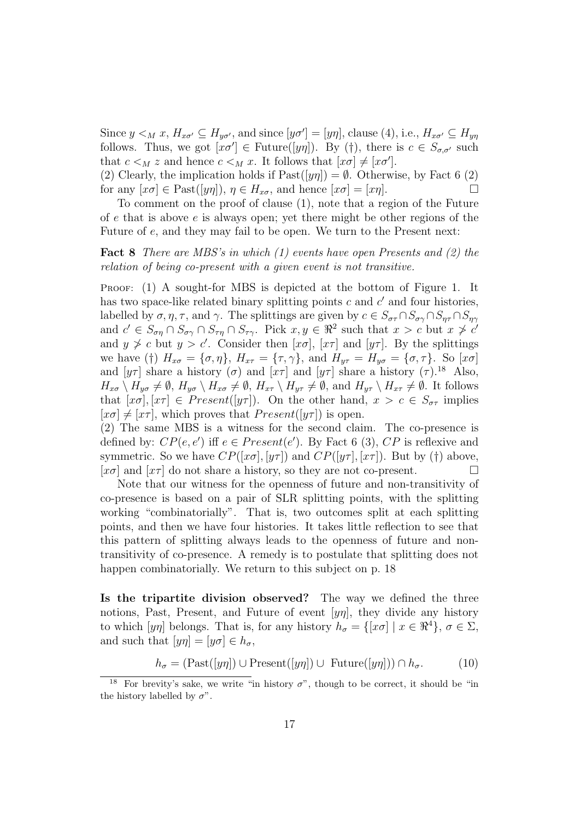Since  $y <_M x$ ,  $H_{x\sigma'} \subseteq H_{y\sigma'}$ , and since  $[y\sigma'] = [y\eta]$ , clause (4), i.e.,  $H_{x\sigma'} \subseteq H_{y\eta}$ follows. Thus, we got  $[x\sigma'] \in Future([y\eta])$ . By (†), there is  $c \in S_{\sigma,\sigma'}$  such that  $c \lt_M z$  and hence  $c \lt_M x$ . It follows that  $[x\sigma] \neq [x\sigma']$ .

(2) Clearly, the implication holds if  $\text{Fast}([y\eta]) = \emptyset$ . Otherwise, by Fact 6 (2) for any  $[x\sigma] \in \text{Fast}([y\eta]), \eta \in H_{x\sigma}$ , and hence  $[x\sigma] = [x\eta].$ 

To comment on the proof of clause (1), note that a region of the Future of e that is above e is always open; yet there might be other regions of the Future of e, and they may fail to be open. We turn to the Present next:

Fact 8 There are MBS's in which (1) events have open Presents and (2) the relation of being co-present with a given event is not transitive.

PROOF: (1) A sought-for MBS is depicted at the bottom of Figure 1. It has two space-like related binary splitting points  $c$  and  $c'$  and four histories, labelled by  $\sigma, \eta, \tau$ , and  $\gamma$ . The splittings are given by  $c \in S_{\sigma\tau} \cap S_{\sigma\gamma} \cap S_{\eta\tau} \cap S_{\eta\gamma}$ and  $c' \in S_{\sigma\eta} \cap S_{\sigma\gamma} \cap S_{\tau\eta} \cap S_{\tau\gamma}$ . Pick  $x, y \in \mathbb{R}^2$  such that  $x > c$  but  $x \not> c'$ and  $y \ngeq c$  but  $y > c'$ . Consider then  $[x\sigma]$ ,  $[x\tau]$  and  $[y\tau]$ . By the splittings we have (†)  $H_{x\sigma} = {\sigma, \eta}, H_{x\tau} = {\tau, \gamma}, \text{ and } H_{y\tau} = H_{y\sigma} = {\sigma, \tau}.$  So  $[x\sigma]$ and  $[y\tau]$  share a history  $(\sigma)$  and  $[x\tau]$  and  $[y\tau]$  share a history  $(\tau)$ .<sup>18</sup> Also,  $H_{x\sigma} \setminus H_{y\sigma} \neq \emptyset$ ,  $H_{y\sigma} \setminus H_{x\sigma} \neq \emptyset$ ,  $H_{x\tau} \setminus H_{y\tau} \neq \emptyset$ , and  $H_{y\tau} \setminus H_{x\tau} \neq \emptyset$ . It follows that  $[x\sigma], [x\tau] \in Present([y\tau])$ . On the other hand,  $x > c \in S_{\sigma\tau}$  implies  $[x\sigma] \neq [x\tau]$ , which proves that  $Present([y\tau])$  is open.

(2) The same MBS is a witness for the second claim. The co-presence is defined by:  $CP(e, e')$  iff  $e \in Present(e')$ . By Fact 6 (3),  $CP$  is reflexive and symmetric. So we have  $CP([x\sigma], [y\tau])$  and  $CP([y\tau], [x\tau])$ . But by (†) above,  $[x\sigma]$  and  $[x\tau]$  do not share a history, so they are not co-present.

Note that our witness for the openness of future and non-transitivity of co-presence is based on a pair of SLR splitting points, with the splitting working "combinatorially". That is, two outcomes split at each splitting points, and then we have four histories. It takes little reflection to see that this pattern of splitting always leads to the openness of future and nontransitivity of co-presence. A remedy is to postulate that splitting does not happen combinatorially. We return to this subject on p. 18

Is the tripartite division observed? The way we defined the three notions, Past, Present, and Future of event  $[y\eta]$ , they divide any history to which  $[y\eta]$  belongs. That is, for any history  $h_{\sigma} = \{ [x\sigma] \mid x \in \mathbb{R}^4 \}, \sigma \in \Sigma$ , and such that  $[y\eta] = [y\sigma] \in h_{\sigma}$ ,

$$
h_{\sigma} = (\text{Fast}([y\eta]) \cup \text{Present}([y\eta]) \cup \text{Future}([y\eta])) \cap h_{\sigma}.
$$
 (10)

For brevity's sake, we write "in history  $\sigma$ ", though to be correct, it should be "in the history labelled by  $\sigma$ ".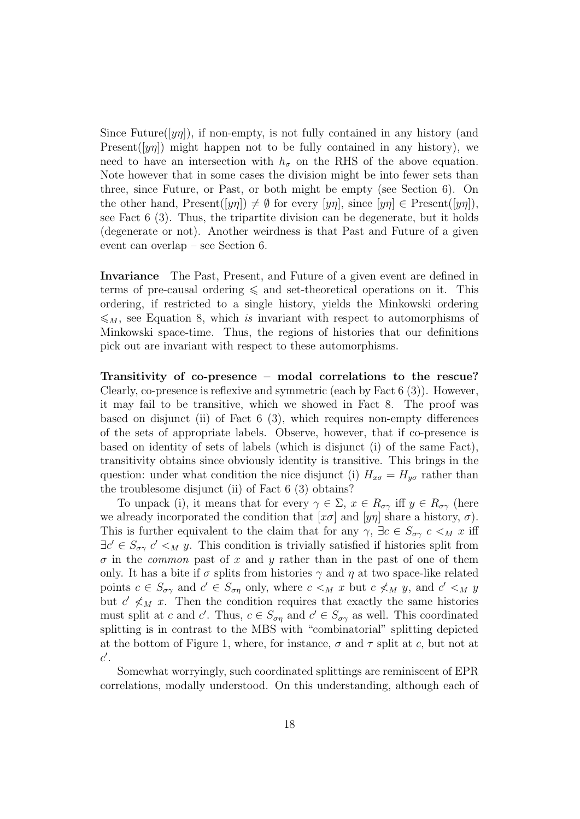Since Future( $[y\eta]$ ), if non-empty, is not fully contained in any history (and Present( $[y\eta]$ ) might happen not to be fully contained in any history), we need to have an intersection with  $h_{\sigma}$  on the RHS of the above equation. Note however that in some cases the division might be into fewer sets than three, since Future, or Past, or both might be empty (see Section 6). On the other hand, Present( $[y\eta]$ )  $\neq \emptyset$  for every  $[y\eta]$ , since  $[y\eta] \in \text{Present}([y\eta])$ , see Fact 6 (3). Thus, the tripartite division can be degenerate, but it holds (degenerate or not). Another weirdness is that Past and Future of a given event can overlap – see Section 6.

Invariance The Past, Present, and Future of a given event are defined in terms of pre-causal ordering  $\leq$  and set-theoretical operations on it. This ordering, if restricted to a single history, yields the Minkowski ordering  $\leqslant_M$ , see Equation 8, which is invariant with respect to automorphisms of Minkowski space-time. Thus, the regions of histories that our definitions pick out are invariant with respect to these automorphisms.

Transitivity of co-presence – modal correlations to the rescue? Clearly, co-presence is reflexive and symmetric (each by Fact 6 (3)). However, it may fail to be transitive, which we showed in Fact 8. The proof was based on disjunct (ii) of Fact 6 (3), which requires non-empty differences of the sets of appropriate labels. Observe, however, that if co-presence is based on identity of sets of labels (which is disjunct (i) of the same Fact), transitivity obtains since obviously identity is transitive. This brings in the question: under what condition the nice disjunct (i)  $H_{x\sigma} = H_{y\sigma}$  rather than the troublesome disjunct (ii) of Fact 6 (3) obtains?

To unpack (i), it means that for every  $\gamma \in \Sigma$ ,  $x \in R_{\sigma\gamma}$  iff  $y \in R_{\sigma\gamma}$  (here we already incorporated the condition that  $[x\sigma]$  and  $[y\eta]$  share a history,  $\sigma$ ). This is further equivalent to the claim that for any  $\gamma$ ,  $\exists c \in S_{\sigma\gamma}$   $c \leq_M x$  iff  $\exists c' \in S_{\sigma\gamma}$   $c' <_M y$ . This condition is trivially satisfied if histories split from  $\sigma$  in the *common* past of x and y rather than in the past of one of them only. It has a bite if  $\sigma$  splits from histories  $\gamma$  and  $\eta$  at two space-like related points  $c \in S_{\sigma\gamma}$  and  $c' \in S_{\sigma\eta}$  only, where  $c \lt_M x$  but  $c \nless_M y$ , and  $c' \lt_M y$ but  $c' \nless M x$ . Then the condition requires that exactly the same histories must split at c and c'. Thus,  $c \in S_{\sigma\eta}$  and  $c' \in S_{\sigma\gamma}$  as well. This coordinated splitting is in contrast to the MBS with "combinatorial" splitting depicted at the bottom of Figure 1, where, for instance,  $\sigma$  and  $\tau$  split at c, but not at  $c'.$ 

Somewhat worryingly, such coordinated splittings are reminiscent of EPR correlations, modally understood. On this understanding, although each of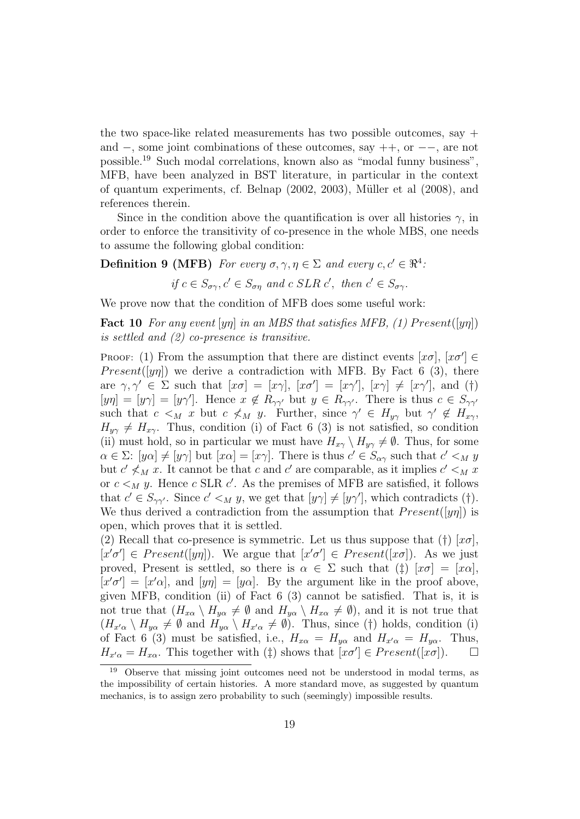the two space-like related measurements has two possible outcomes, say  $+$ and −, some joint combinations of these outcomes, say ++, or −−, are not possible.<sup>19</sup> Such modal correlations, known also as "modal funny business", MFB, have been analyzed in BST literature, in particular in the context of quantum experiments, cf. Belnap (2002, 2003), Müller et al (2008), and references therein.

Since in the condition above the quantification is over all histories  $\gamma$ , in order to enforce the transitivity of co-presence in the whole MBS, one needs to assume the following global condition:

**Definition 9 (MFB)** For every  $\sigma, \gamma, \eta \in \Sigma$  and every  $c, c' \in \Re^4$ .

if 
$$
c \in S_{\sigma\gamma}
$$
,  $c' \in S_{\sigma\eta}$  and  $c$  SLR  $c'$ , then  $c' \in S_{\sigma\gamma}$ .

We prove now that the condition of MFB does some useful work:

**Fact 10** For any event  $[y\eta]$  in an MBS that satisfies MFB, (1) Present( $[y\eta]$ ) is settled and (2) co-presence is transitive.

PROOF: (1) From the assumption that there are distinct events  $[x\sigma]$ ,  $[x\sigma'] \in$ *Present*([yn]) we derive a contradiction with MFB. By Fact 6 (3), there are  $\gamma, \gamma' \in \Sigma$  such that  $[x\sigma] = [x\gamma], [x\sigma'] = [x\gamma'], [x\gamma] \neq [x\gamma'],$  and (†)  $[y\eta] = [y\gamma] = [y\gamma']$ . Hence  $x \notin R_{\gamma\gamma'}$  but  $y \in R_{\gamma\gamma'}$ . There is thus  $c \in S_{\gamma\gamma'}$ such that  $c \leq_M x$  but  $c \nless_M y$ . Further, since  $\gamma' \in H_{y\gamma}$  but  $\gamma' \notin H_{x\gamma}$ ,  $H_{y\gamma} \neq H_{x\gamma}$ . Thus, condition (i) of Fact 6 (3) is not satisfied, so condition (ii) must hold, so in particular we must have  $H_{x\gamma} \setminus H_{y\gamma} \neq \emptyset$ . Thus, for some  $\alpha \in \Sigma: [y\alpha] \neq [y\gamma]$  but  $[x\alpha] = [x\gamma]$ . There is thus  $c' \in S_{\alpha\gamma}$  such that  $c' \leq_M y$ but  $c' \nless_M x$ . It cannot be that c and c' are comparable, as it implies  $c' \nless_M x$ or  $c \lt_M y$ . Hence c SLR c'. As the premises of MFB are satisfied, it follows that  $c' \in S_{\gamma\gamma'}$ . Since  $c' \leq_M y$ , we get that  $[y\gamma] \neq [y\gamma']$ , which contradicts (†). We thus derived a contradiction from the assumption that  $Present([y\eta])$  is open, which proves that it is settled.

(2) Recall that co-presence is symmetric. Let us thus suppose that (†)  $[x\sigma]$ ,  $[x'\sigma'] \in Present([y\eta])$ . We argue that  $[x'\sigma'] \in Present([x\sigma])$ . As we just proved, Present is settled, so there is  $\alpha \in \Sigma$  such that (†)  $[x\sigma] = [x\alpha]$ ,  $[x'\sigma'] = [x'\alpha]$ , and  $[y\eta] = [y\alpha]$ . By the argument like in the proof above, given MFB, condition (ii) of Fact 6 (3) cannot be satisfied. That is, it is not true that  $(H_{x\alpha} \setminus H_{y\alpha} \neq \emptyset$  and  $H_{y\alpha} \setminus H_{x\alpha} \neq \emptyset)$ , and it is not true that  $(H_{x'\alpha} \setminus H_{y\alpha} \neq \emptyset \text{ and } H_{y\alpha} \setminus H_{x'\alpha} \neq \emptyset).$  Thus, since (†) holds, condition (i) of Fact 6 (3) must be satisfied, i.e.,  $H_{x\alpha} = H_{y\alpha}$  and  $H_{x'\alpha} = H_{y\alpha}$ . Thus,  $H_{x'\alpha} = H_{x\alpha}$ . This together with  $(\ddagger)$  shows that  $[x\sigma'] \in Present([x\sigma])$ .  $\Box$ 

<sup>19</sup> Observe that missing joint outcomes need not be understood in modal terms, as the impossibility of certain histories. A more standard move, as suggested by quantum mechanics, is to assign zero probability to such (seemingly) impossible results.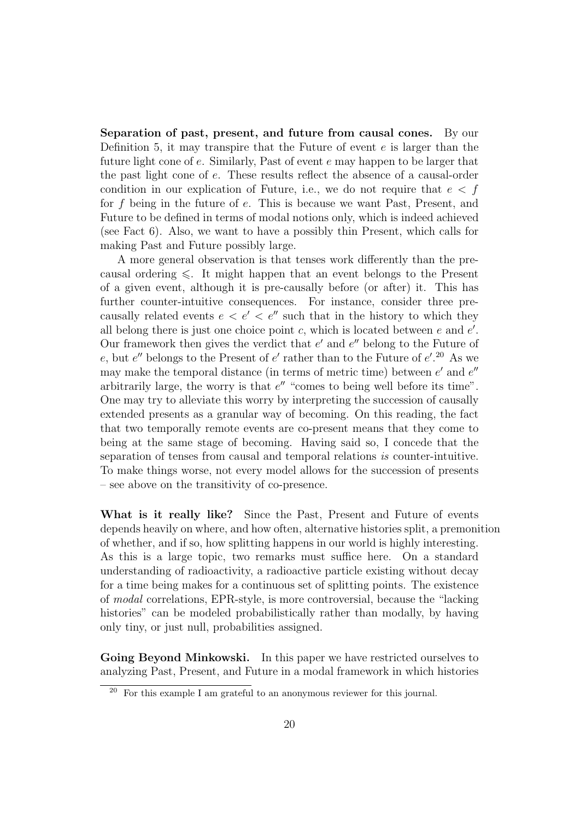Separation of past, present, and future from causal cones. By our Definition 5, it may transpire that the Future of event  $e$  is larger than the future light cone of e. Similarly, Past of event e may happen to be larger that the past light cone of e. These results reflect the absence of a causal-order condition in our explication of Future, i.e., we do not require that  $e < f$ for f being in the future of e. This is because we want Past, Present, and Future to be defined in terms of modal notions only, which is indeed achieved (see Fact 6). Also, we want to have a possibly thin Present, which calls for making Past and Future possibly large.

A more general observation is that tenses work differently than the precausal ordering  $\leq$ . It might happen that an event belongs to the Present of a given event, although it is pre-causally before (or after) it. This has further counter-intuitive consequences. For instance, consider three precausally related events  $e < e' < e''$  such that in the history to which they all belong there is just one choice point  $c$ , which is located between  $e$  and  $e'$ . Our framework then gives the verdict that  $e'$  and  $e''$  belong to the Future of e, but e'' belongs to the Present of e' rather than to the Future of  $e'.^{20}$  As we may make the temporal distance (in terms of metric time) between  $e'$  and  $e''$ arbitrarily large, the worry is that  $e''$  "comes to being well before its time". One may try to alleviate this worry by interpreting the succession of causally extended presents as a granular way of becoming. On this reading, the fact that two temporally remote events are co-present means that they come to being at the same stage of becoming. Having said so, I concede that the separation of tenses from causal and temporal relations is counter-intuitive. To make things worse, not every model allows for the succession of presents – see above on the transitivity of co-presence.

What is it really like? Since the Past, Present and Future of events depends heavily on where, and how often, alternative histories split, a premonition of whether, and if so, how splitting happens in our world is highly interesting. As this is a large topic, two remarks must suffice here. On a standard understanding of radioactivity, a radioactive particle existing without decay for a time being makes for a continuous set of splitting points. The existence of modal correlations, EPR-style, is more controversial, because the "lacking histories" can be modeled probabilistically rather than modally, by having only tiny, or just null, probabilities assigned.

Going Beyond Minkowski. In this paper we have restricted ourselves to analyzing Past, Present, and Future in a modal framework in which histories

<sup>20</sup> For this example I am grateful to an anonymous reviewer for this journal.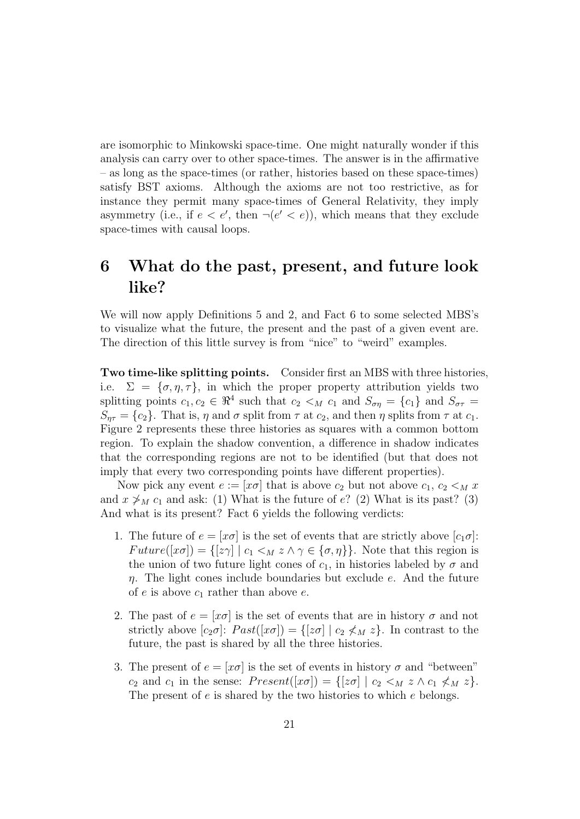are isomorphic to Minkowski space-time. One might naturally wonder if this analysis can carry over to other space-times. The answer is in the affirmative – as long as the space-times (or rather, histories based on these space-times) satisfy BST axioms. Although the axioms are not too restrictive, as for instance they permit many space-times of General Relativity, they imply asymmetry (i.e., if  $e < e'$ , then  $\neg(e' < e)$ ), which means that they exclude space-times with causal loops.

# 6 What do the past, present, and future look like?

We will now apply Definitions 5 and 2, and Fact 6 to some selected MBS's to visualize what the future, the present and the past of a given event are. The direction of this little survey is from "nice" to "weird" examples.

Two time-like splitting points. Consider first an MBS with three histories, i.e.  $\Sigma = {\sigma, \eta, \tau}$ , in which the proper property attribution yields two splitting points  $c_1, c_2 \in \mathbb{R}^4$  such that  $c_2 <sub>M</sub> c_1$  and  $S_{\sigma\eta} = \{c_1\}$  and  $S_{\sigma\tau} =$  $S_{\eta\tau} = \{c_2\}.$  That is,  $\eta$  and  $\sigma$  split from  $\tau$  at  $c_2$ , and then  $\eta$  splits from  $\tau$  at  $c_1$ . Figure 2 represents these three histories as squares with a common bottom region. To explain the shadow convention, a difference in shadow indicates that the corresponding regions are not to be identified (but that does not imply that every two corresponding points have different properties).

Now pick any event  $e := [x\sigma]$  that is above  $c_2$  but not above  $c_1, c_2 \leq_M x$ and  $x \not>_{M} c_1$  and ask: (1) What is the future of e? (2) What is its past? (3) And what is its present? Fact 6 yields the following verdicts:

- 1. The future of  $e = [x\sigma]$  is the set of events that are strictly above  $[c_1\sigma]$ :  $Future([x\sigma]) = \{[z\gamma] \mid c_1 \leq_M z \land \gamma \in \{\sigma, \eta\}\}.$  Note that this region is the union of two future light cones of  $c_1$ , in histories labeled by  $\sigma$  and  $\eta$ . The light cones include boundaries but exclude e. And the future of  $e$  is above  $c_1$  rather than above  $e$ .
- 2. The past of  $e = [x\sigma]$  is the set of events that are in history  $\sigma$  and not strictly above  $[c_2\sigma]$ :  $Fast([x\sigma]) = \{[z\sigma] | c_2 \nless M z\}$ . In contrast to the future, the past is shared by all the three histories.
- 3. The present of  $e = [x\sigma]$  is the set of events in history  $\sigma$  and "between"  $c_2$  and  $c_1$  in the sense:  $Present([x\sigma]) = \{[z\sigma] | c_2 \leq_M z \wedge c_1 \not\leq_M z\}.$ The present of e is shared by the two histories to which e belongs.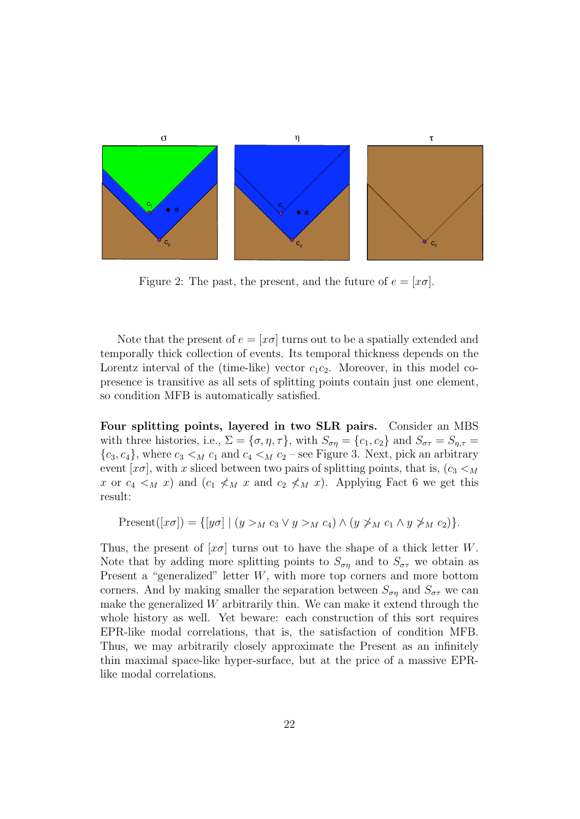

Figure 2: The past, the present, and the future of  $e = [x\sigma]$ .

Note that the present of  $e = [x\sigma]$  turns out to be a spatially extended and temporally thick collection of events. Its temporal thickness depends on the Lorentz interval of the (time-like) vector  $c_1c_2$ . Moreover, in this model copresence is transitive as all sets of splitting points contain just one element, so condition MFB is automatically satisfied.

Four splitting points, layered in two SLR pairs. Consider an MBS with three histories, i.e.,  $\Sigma = {\sigma, \eta, \tau}$ , with  $S_{\sigma\eta} = {c_1, c_2}$  and  $S_{\sigma\tau} = S_{\eta, \tau}$  ${c_3, c_4}$ , where  $c_3 <_{M} c_1$  and  $c_4 <_{M} c_2$  – see Figure 3. Next, pick an arbitrary event  $[x\sigma]$ , with x sliced between two pairs of splitting points, that is,  $(c_3 <_M$ x or  $c_4 <sub>M</sub>$  x) and  $(c_1 \nless_{M} x$  and  $c_2 \nless_{M} x)$ . Applying Fact 6 we get this result:

$$
\text{Present}([x\sigma]) = \{ [y\sigma] \mid (y >_M c_3 \lor y >_M c_4) \land (y \not\geq_M c_1 \land y \not\geq_M c_2) \}.
$$

Thus, the present of  $x\sigma$  turns out to have the shape of a thick letter W. Note that by adding more splitting points to  $S_{\sigma\eta}$  and to  $S_{\sigma\tau}$  we obtain as Present a "generalized" letter W, with more top corners and more bottom corners. And by making smaller the separation between  $S_{\sigma n}$  and  $S_{\sigma \tau}$  we can make the generalized  $W$  arbitrarily thin. We can make it extend through the whole history as well. Yet beware: each construction of this sort requires EPR-like modal correlations, that is, the satisfaction of condition MFB. Thus, we may arbitrarily closely approximate the Present as an infinitely thin maximal space-like hyper-surface, but at the price of a massive EPRlike modal correlations.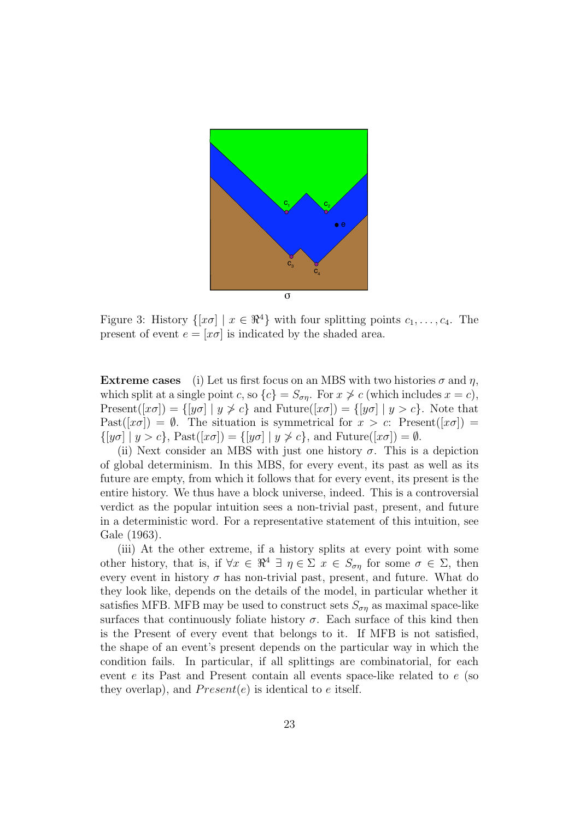

Figure 3: History  $\{ [x\sigma] \mid x \in \mathbb{R}^4 \}$  with four splitting points  $c_1, \ldots, c_4$ . The present of event  $e = [x\sigma]$  is indicated by the shaded area.

**Extreme cases** (i) Let us first focus on an MBS with two histories  $\sigma$  and  $\eta$ , which split at a single point c, so  $\{c\} = S_{\sigma\eta}$ . For  $x \ngeq c$  (which includes  $x = c$ ), Present $([x\sigma]) = \{ [y\sigma] \mid y \not\geq c \}$  and Future $([x\sigma]) = \{ [y\sigma] \mid y > c \}$ . Note that Past( $[x\sigma]$ ) =  $\emptyset$ . The situation is symmetrical for  $x > c$ : Present( $[x\sigma]$ ) =  $\{ [y\sigma] \mid y > c \},$  Past $([x\sigma]) = \{ [y\sigma] \mid y \not\geq c \},$  and Future $([x\sigma]) = \emptyset$ .

(ii) Next consider an MBS with just one history  $\sigma$ . This is a depiction of global determinism. In this MBS, for every event, its past as well as its future are empty, from which it follows that for every event, its present is the entire history. We thus have a block universe, indeed. This is a controversial verdict as the popular intuition sees a non-trivial past, present, and future in a deterministic word. For a representative statement of this intuition, see Gale (1963).

(iii) At the other extreme, if a history splits at every point with some other history, that is, if  $\forall x \in \mathbb{R}^4 \exists \eta \in \Sigma \ x \in S_{\sigma\eta}$  for some  $\sigma \in \Sigma$ , then every event in history  $\sigma$  has non-trivial past, present, and future. What do they look like, depends on the details of the model, in particular whether it satisfies MFB. MFB may be used to construct sets  $S_{\sigma\eta}$  as maximal space-like surfaces that continuously foliate history  $\sigma$ . Each surface of this kind then is the Present of every event that belongs to it. If MFB is not satisfied, the shape of an event's present depends on the particular way in which the condition fails. In particular, if all splittings are combinatorial, for each event e its Past and Present contain all events space-like related to e (so they overlap), and  $Present(e)$  is identical to e itself.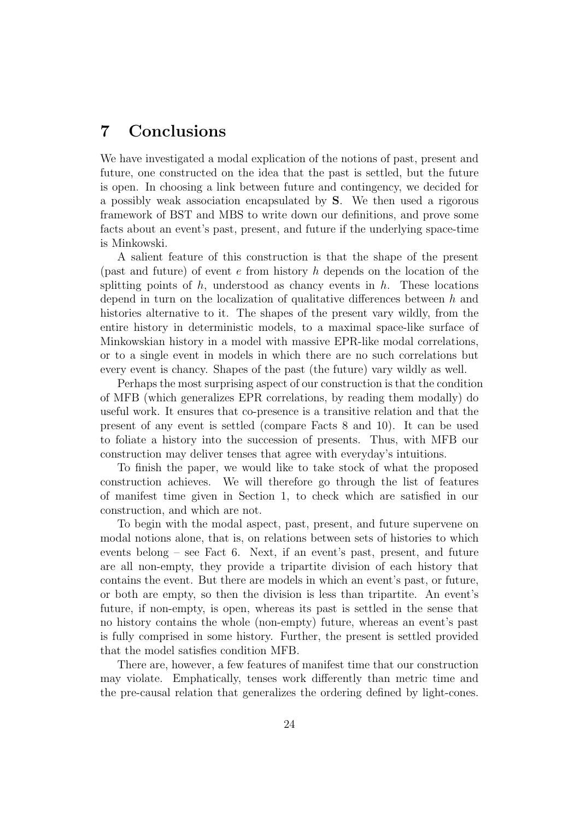# 7 Conclusions

We have investigated a modal explication of the notions of past, present and future, one constructed on the idea that the past is settled, but the future is open. In choosing a link between future and contingency, we decided for a possibly weak association encapsulated by S. We then used a rigorous framework of BST and MBS to write down our definitions, and prove some facts about an event's past, present, and future if the underlying space-time is Minkowski.

A salient feature of this construction is that the shape of the present (past and future) of event e from history h depends on the location of the splitting points of  $h$ , understood as chancy events in  $h$ . These locations depend in turn on the localization of qualitative differences between h and histories alternative to it. The shapes of the present vary wildly, from the entire history in deterministic models, to a maximal space-like surface of Minkowskian history in a model with massive EPR-like modal correlations, or to a single event in models in which there are no such correlations but every event is chancy. Shapes of the past (the future) vary wildly as well.

Perhaps the most surprising aspect of our construction is that the condition of MFB (which generalizes EPR correlations, by reading them modally) do useful work. It ensures that co-presence is a transitive relation and that the present of any event is settled (compare Facts 8 and 10). It can be used to foliate a history into the succession of presents. Thus, with MFB our construction may deliver tenses that agree with everyday's intuitions.

To finish the paper, we would like to take stock of what the proposed construction achieves. We will therefore go through the list of features of manifest time given in Section 1, to check which are satisfied in our construction, and which are not.

To begin with the modal aspect, past, present, and future supervene on modal notions alone, that is, on relations between sets of histories to which events belong – see Fact 6. Next, if an event's past, present, and future are all non-empty, they provide a tripartite division of each history that contains the event. But there are models in which an event's past, or future, or both are empty, so then the division is less than tripartite. An event's future, if non-empty, is open, whereas its past is settled in the sense that no history contains the whole (non-empty) future, whereas an event's past is fully comprised in some history. Further, the present is settled provided that the model satisfies condition MFB.

There are, however, a few features of manifest time that our construction may violate. Emphatically, tenses work differently than metric time and the pre-causal relation that generalizes the ordering defined by light-cones.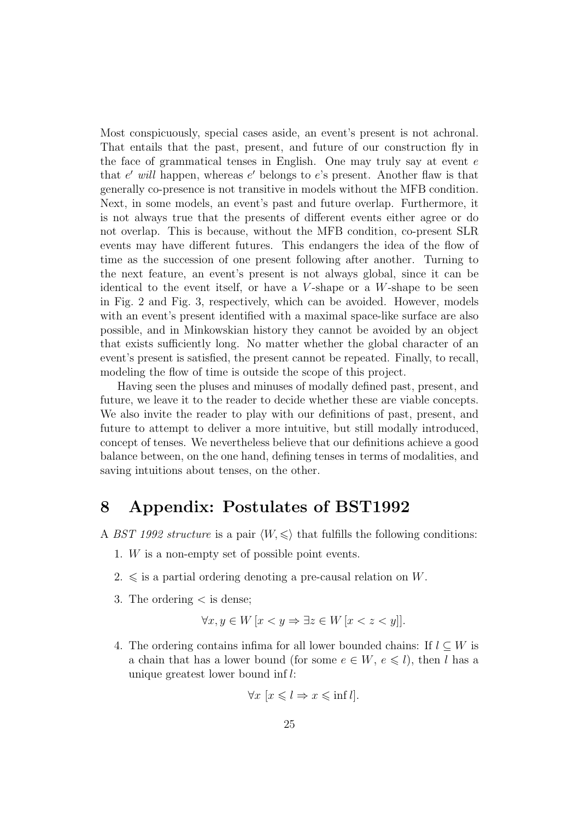Most conspicuously, special cases aside, an event's present is not achronal. That entails that the past, present, and future of our construction fly in the face of grammatical tenses in English. One may truly say at event  $e$ that  $e'$  will happen, whereas  $e'$  belongs to  $e$ 's present. Another flaw is that generally co-presence is not transitive in models without the MFB condition. Next, in some models, an event's past and future overlap. Furthermore, it is not always true that the presents of different events either agree or do not overlap. This is because, without the MFB condition, co-present SLR events may have different futures. This endangers the idea of the flow of time as the succession of one present following after another. Turning to the next feature, an event's present is not always global, since it can be identical to the event itself, or have a  $V$ -shape or a  $W$ -shape to be seen in Fig. 2 and Fig. 3, respectively, which can be avoided. However, models with an event's present identified with a maximal space-like surface are also possible, and in Minkowskian history they cannot be avoided by an object that exists sufficiently long. No matter whether the global character of an event's present is satisfied, the present cannot be repeated. Finally, to recall, modeling the flow of time is outside the scope of this project.

Having seen the pluses and minuses of modally defined past, present, and future, we leave it to the reader to decide whether these are viable concepts. We also invite the reader to play with our definitions of past, present, and future to attempt to deliver a more intuitive, but still modally introduced, concept of tenses. We nevertheless believe that our definitions achieve a good balance between, on the one hand, defining tenses in terms of modalities, and saving intuitions about tenses, on the other.

## 8 Appendix: Postulates of BST1992

- A BST 1992 structure is a pair  $\langle W, \leq \rangle$  that fulfills the following conditions:
	- 1. W is a non-empty set of possible point events.
	- $2. \leq$  is a partial ordering denoting a pre-causal relation on W.
	- 3. The ordering < is dense;

$$
\forall x, y \in W \, [x < y \Rightarrow \exists z \in W \, [x < z < y]].
$$

4. The ordering contains infima for all lower bounded chains: If  $l \subset W$  is a chain that has a lower bound (for some  $e \in W$ ,  $e \leq l$ ), then l has a unique greatest lower bound inf l:

$$
\forall x \ [x \leq l \Rightarrow x \leq \inf l].
$$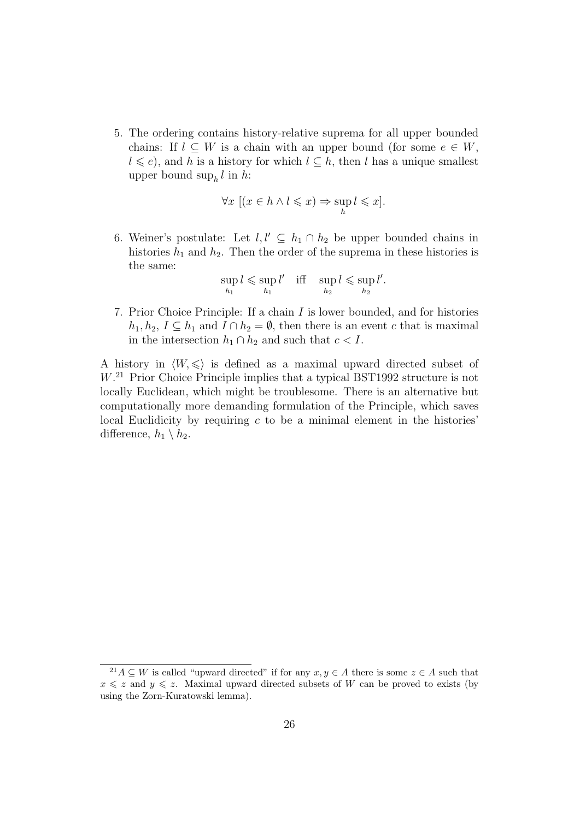5. The ordering contains history-relative suprema for all upper bounded chains: If  $l \subset W$  is a chain with an upper bound (for some  $e \in W$ ,  $l \leq e$ , and h is a history for which  $l \subseteq h$ , then l has a unique smallest upper bound  $\sup_h l$  in h:

$$
\forall x \ [(x \in h \land l \leqslant x) \Rightarrow \sup_{h} l \leqslant x].
$$

6. Weiner's postulate: Let  $l, l' \subseteq h_1 \cap h_2$  be upper bounded chains in histories  $h_1$  and  $h_2$ . Then the order of the suprema in these histories is the same:

$$
\sup_{h_1} l \leqslant \sup_{h_1} l' \quad \text{iff} \quad \sup_{h_2} l \leqslant \sup_{h_2} l'.
$$

7. Prior Choice Principle: If a chain I is lower bounded, and for histories  $h_1, h_2, I \subseteq h_1$  and  $I \cap h_2 = \emptyset$ , then there is an event c that is maximal in the intersection  $h_1 \cap h_2$  and such that  $c < I$ .

A history in  $\langle W, \leq \rangle$  is defined as a maximal upward directed subset of W. <sup>21</sup> Prior Choice Principle implies that a typical BST1992 structure is not locally Euclidean, which might be troublesome. There is an alternative but computationally more demanding formulation of the Principle, which saves local Euclidicity by requiring  $c$  to be a minimal element in the histories' difference,  $h_1 \setminus h_2$ .

<sup>&</sup>lt;sup>21</sup> $A \subseteq W$  is called "upward directed" if for any  $x, y \in A$  there is some  $z \in A$  such that  $x \leq z$  and  $y \leq z$ . Maximal upward directed subsets of W can be proved to exists (by using the Zorn-Kuratowski lemma).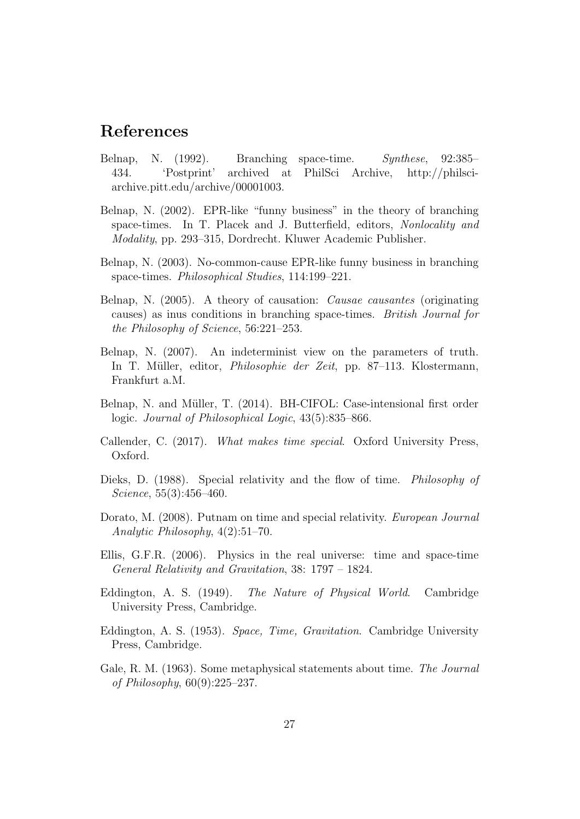# References

- Belnap, N. (1992). Branching space-time. Synthese, 92:385– 434. 'Postprint' archived at PhilSci Archive, http://philsciarchive.pitt.edu/archive/00001003.
- Belnap, N. (2002). EPR-like "funny business" in the theory of branching space-times. In T. Placek and J. Butterfield, editors, Nonlocality and Modality, pp. 293–315, Dordrecht. Kluwer Academic Publisher.
- Belnap, N. (2003). No-common-cause EPR-like funny business in branching space-times. Philosophical Studies, 114:199–221.
- Belnap, N. (2005). A theory of causation: Causae causantes (originating causes) as inus conditions in branching space-times. British Journal for the Philosophy of Science, 56:221–253.
- Belnap, N. (2007). An indeterminist view on the parameters of truth. In T. Müller, editor, *Philosophie der Zeit*, pp. 87–113. Klostermann, Frankfurt a.M.
- Belnap, N. and Müller, T. (2014). BH-CIFOL: Case-intensional first order logic. Journal of Philosophical Logic, 43(5):835–866.
- Callender, C. (2017). What makes time special. Oxford University Press, Oxford.
- Dieks, D. (1988). Special relativity and the flow of time. *Philosophy of* Science, 55(3):456–460.
- Dorato, M. (2008). Putnam on time and special relativity. European Journal Analytic Philosophy, 4(2):51–70.
- Ellis, G.F.R. (2006). Physics in the real universe: time and space-time General Relativity and Gravitation, 38: 1797 – 1824.
- Eddington, A. S. (1949). The Nature of Physical World. Cambridge University Press, Cambridge.
- Eddington, A. S. (1953). Space, Time, Gravitation. Cambridge University Press, Cambridge.
- Gale, R. M. (1963). Some metaphysical statements about time. The Journal of Philosophy, 60(9):225–237.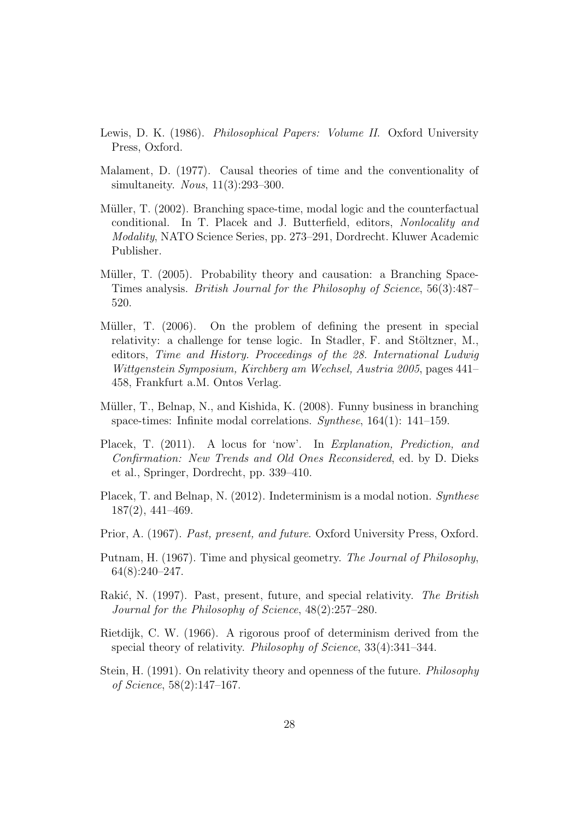- Lewis, D. K. (1986). Philosophical Papers: Volume II. Oxford University Press, Oxford.
- Malament, D. (1977). Causal theories of time and the conventionality of simultaneity. *Nous*, 11(3):293-300.
- Müller, T. (2002). Branching space-time, modal logic and the counterfactual conditional. In T. Placek and J. Butterfield, editors, Nonlocality and Modality, NATO Science Series, pp. 273–291, Dordrecht. Kluwer Academic Publisher.
- Müller, T. (2005). Probability theory and causation: a Branching Space-Times analysis. British Journal for the Philosophy of Science, 56(3):487– 520.
- Müller, T.  $(2006)$ . On the problem of defining the present in special relativity: a challenge for tense logic. In Stadler, F. and Stöltzner, M., editors, Time and History. Proceedings of the 28. International Ludwig Wittgenstein Symposium, Kirchberg am Wechsel, Austria 2005, pages 441– 458, Frankfurt a.M. Ontos Verlag.
- Müller, T., Belnap, N., and Kishida, K. (2008). Funny business in branching space-times: Infinite modal correlations. Synthese, 164(1): 141–159.
- Placek, T. (2011). A locus for 'now'. In Explanation, Prediction, and Confirmation: New Trends and Old Ones Reconsidered, ed. by D. Dieks et al., Springer, Dordrecht, pp. 339–410.
- Placek, T. and Belnap, N. (2012). Indeterminism is a modal notion. Synthese 187(2), 441–469.
- Prior, A. (1967). Past, present, and future. Oxford University Press, Oxford.
- Putnam, H. (1967). Time and physical geometry. The Journal of Philosophy, 64(8):240–247.
- Rakić, N. (1997). Past, present, future, and special relativity. The British Journal for the Philosophy of Science, 48(2):257–280.
- Rietdijk, C. W. (1966). A rigorous proof of determinism derived from the special theory of relativity. Philosophy of Science, 33(4):341–344.
- Stein, H. (1991). On relativity theory and openness of the future. Philosophy of Science, 58(2):147–167.